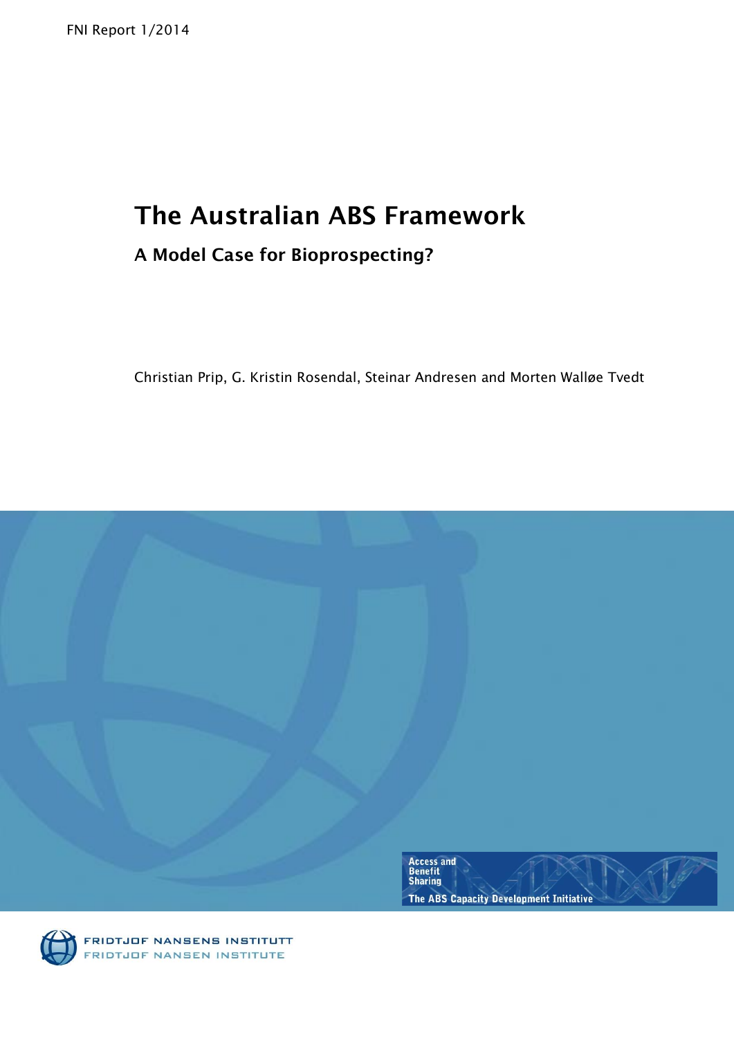FNI Report 1/2014

# **The Australian ABS Framework**

# **A Model Case for Bioprospecting?**

Christian Prip, G. Kristin Rosendal, Steinar Andresen and Morten Walløe Tvedt



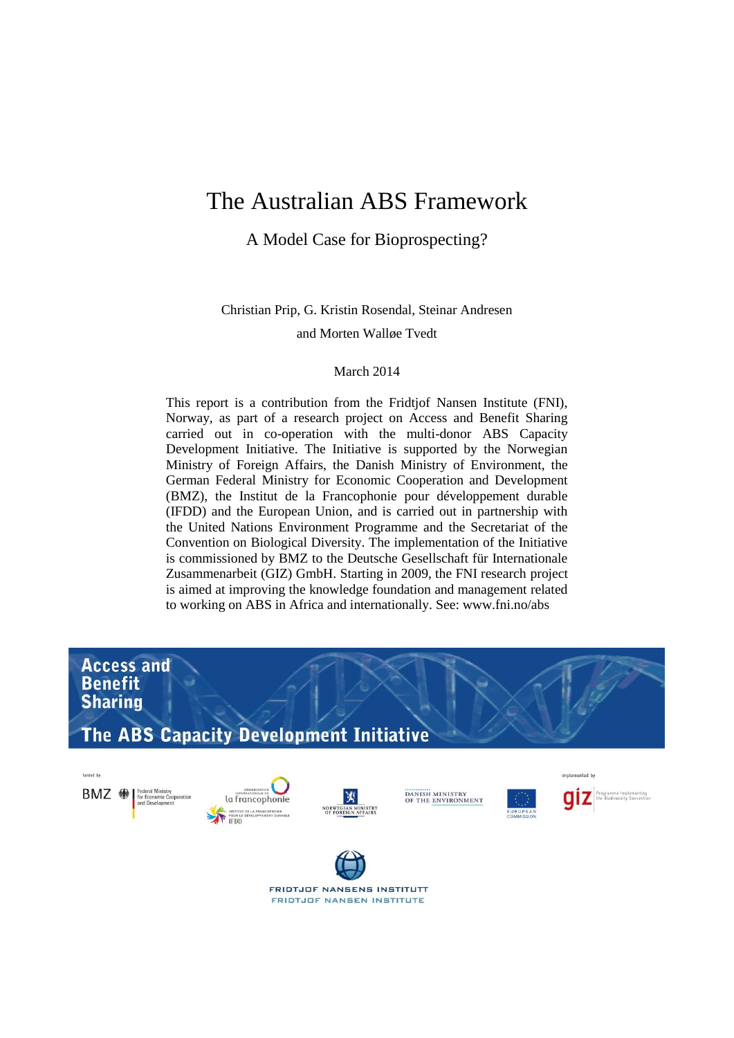# The Australian ABS Framework

A Model Case for Bioprospecting?

Christian Prip, G. Kristin Rosendal, Steinar Andresen

and Morten Walløe Tvedt

#### March 2014

This report is a contribution from the Fridtjof Nansen Institute (FNI), Norway, as part of a research project on Access and Benefit Sharing carried out in co-operation with the multi-donor ABS Capacity Development Initiative. The Initiative is supported by the Norwegian Ministry of Foreign Affairs, the Danish Ministry of Environment, the German Federal Ministry for Economic Cooperation and Development (BMZ), the Institut de la Francophonie pour développement durable (IFDD) and the European Union, and is carried out in partnership with the United Nations Environment Programme and the Secretariat of the Convention on Biological Diversity. The implementation of the Initiative is commissioned by BMZ to the Deutsche Gesellschaft für Internationale Zusammenarbeit (GIZ) GmbH. Starting in 2009, the FNI research project is aimed at improving the knowledge foundation and management related to working on ABS in Africa and internationally. See: www.fni.no/abs

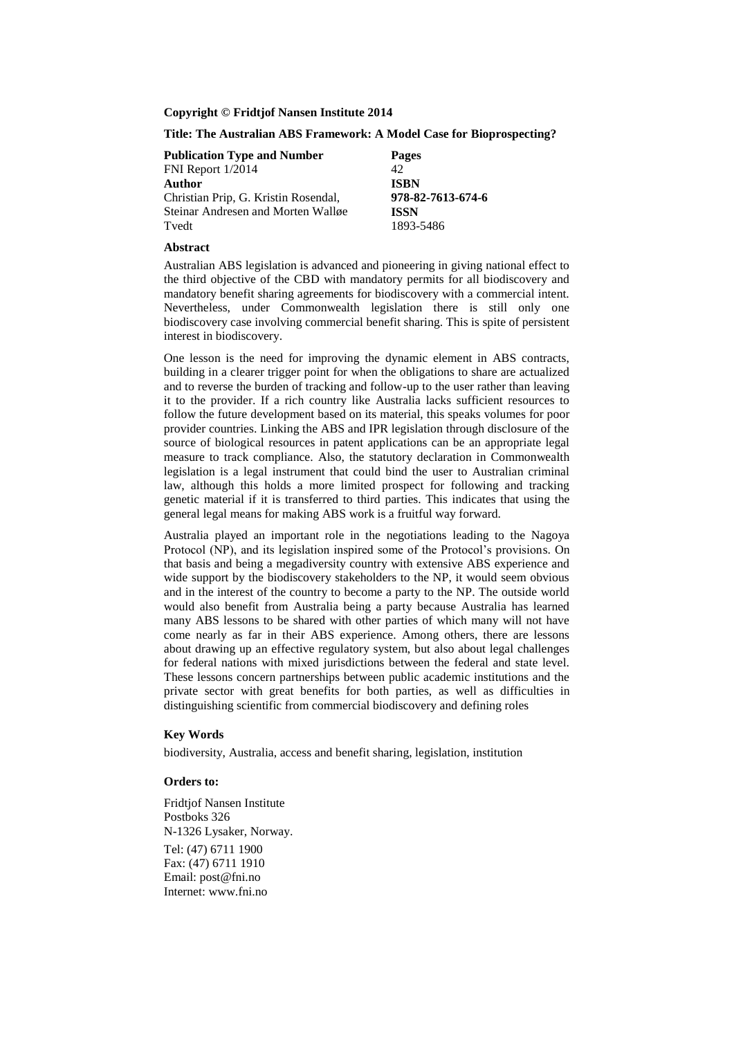**Copyright © Fridtjof Nansen Institute 2014**

**Title: The Australian ABS Framework: A Model Case for Bioprospecting?**

| <b>Publication Type and Number</b>   | <b>Pages</b>      |
|--------------------------------------|-------------------|
| FNI Report 1/2014                    | 42.               |
| Author                               | <b>ISBN</b>       |
| Christian Prip, G. Kristin Rosendal, | 978-82-7613-674-6 |
| Steinar Andresen and Morten Walløe   | <b>ISSN</b>       |
| Tyedt                                | 1893-5486         |

#### **Abstract**

Australian ABS legislation is advanced and pioneering in giving national effect to the third objective of the CBD with mandatory permits for all biodiscovery and mandatory benefit sharing agreements for biodiscovery with a commercial intent. Nevertheless, under Commonwealth legislation there is still only one biodiscovery case involving commercial benefit sharing. This is spite of persistent interest in biodiscovery.

One lesson is the need for improving the dynamic element in ABS contracts, building in a clearer trigger point for when the obligations to share are actualized and to reverse the burden of tracking and follow-up to the user rather than leaving it to the provider. If a rich country like Australia lacks sufficient resources to follow the future development based on its material, this speaks volumes for poor provider countries. Linking the ABS and IPR legislation through disclosure of the source of biological resources in patent applications can be an appropriate legal measure to track compliance. Also, the statutory declaration in Commonwealth legislation is a legal instrument that could bind the user to Australian criminal law, although this holds a more limited prospect for following and tracking genetic material if it is transferred to third parties. This indicates that using the general legal means for making ABS work is a fruitful way forward.

Australia played an important role in the negotiations leading to the Nagoya Protocol (NP), and its legislation inspired some of the Protocol's provisions. On that basis and being a megadiversity country with extensive ABS experience and wide support by the biodiscovery stakeholders to the NP, it would seem obvious and in the interest of the country to become a party to the NP. The outside world would also benefit from Australia being a party because Australia has learned many ABS lessons to be shared with other parties of which many will not have come nearly as far in their ABS experience. Among others, there are lessons about drawing up an effective regulatory system, but also about legal challenges for federal nations with mixed jurisdictions between the federal and state level. These lessons concern partnerships between public academic institutions and the private sector with great benefits for both parties, as well as difficulties in distinguishing scientific from commercial biodiscovery and defining roles

#### **Key Words**

biodiversity, Australia, access and benefit sharing, legislation, institution

#### **Orders to:**

Fridtjof Nansen Institute Postboks 326 N-1326 Lysaker, Norway. Tel: (47) 6711 1900 Fax: (47) 6711 1910 Email: post@fni.no Internet: www.fni.no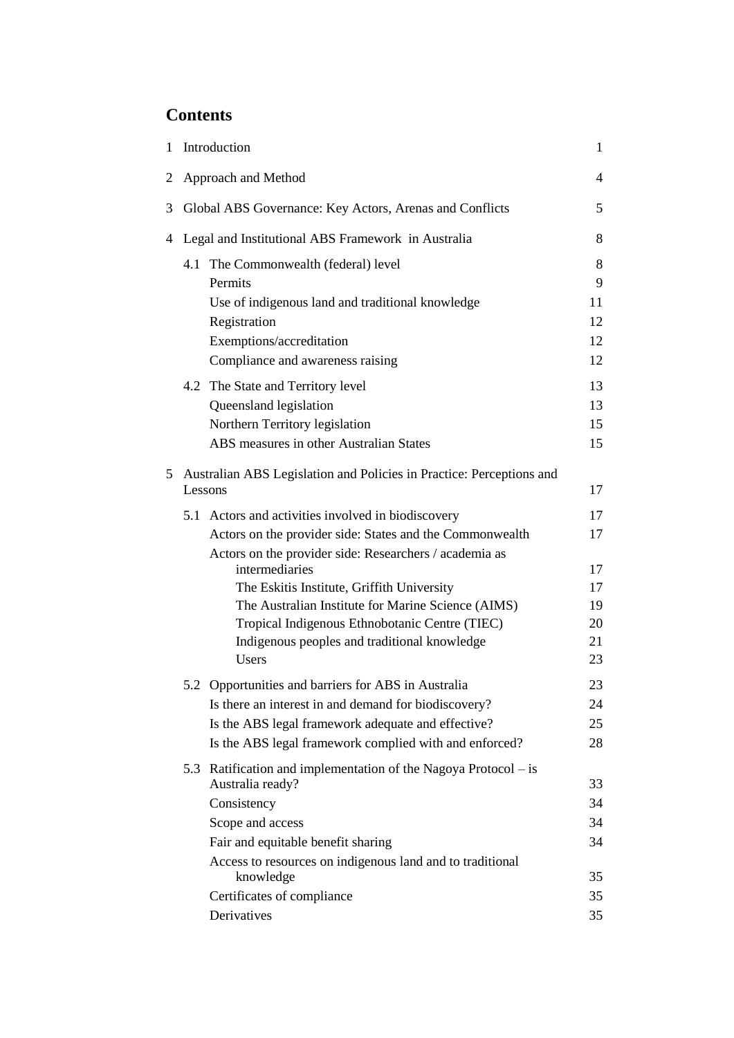# **Contents**

| 1 |                     | Introduction                                                                                   | $\mathbf{1}$ |
|---|---------------------|------------------------------------------------------------------------------------------------|--------------|
| 2 | Approach and Method |                                                                                                | 4            |
| 3 |                     | Global ABS Governance: Key Actors, Arenas and Conflicts                                        | 5            |
| 4 |                     | Legal and Institutional ABS Framework in Australia                                             | 8            |
|   |                     | 4.1 The Commonwealth (federal) level                                                           | 8            |
|   |                     | Permits                                                                                        | 9            |
|   |                     | Use of indigenous land and traditional knowledge                                               | 11           |
|   |                     | Registration                                                                                   | 12           |
|   |                     | Exemptions/accreditation                                                                       | 12           |
|   |                     | Compliance and awareness raising                                                               | 12           |
|   |                     | 4.2 The State and Territory level                                                              | 13           |
|   |                     | Queensland legislation                                                                         | 13           |
|   |                     | Northern Territory legislation                                                                 | 15           |
|   |                     | ABS measures in other Australian States                                                        | 15           |
| 5 |                     | Australian ABS Legislation and Policies in Practice: Perceptions and                           |              |
|   | Lessons             |                                                                                                | 17           |
|   |                     | 5.1 Actors and activities involved in biodiscovery                                             | 17           |
|   |                     | Actors on the provider side: States and the Commonwealth                                       | 17           |
|   |                     | Actors on the provider side: Researchers / academia as                                         |              |
|   |                     | intermediaries                                                                                 | 17           |
|   |                     | The Eskitis Institute, Griffith University                                                     | 17           |
|   |                     | The Australian Institute for Marine Science (AIMS)                                             | 19           |
|   |                     | Tropical Indigenous Ethnobotanic Centre (TIEC)<br>Indigenous peoples and traditional knowledge | 20<br>21     |
|   |                     | Users                                                                                          | 23           |
|   |                     |                                                                                                |              |
|   |                     | 5.2 Opportunities and barriers for ABS in Australia                                            | 23           |
|   |                     | Is there an interest in and demand for biodiscovery?                                           | 24           |
|   |                     | Is the ABS legal framework adequate and effective?                                             | 25           |
|   |                     | Is the ABS legal framework complied with and enforced?                                         | 28           |
|   |                     | 5.3 Ratification and implementation of the Nagoya Protocol – is<br>Australia ready?            | 33           |
|   |                     | Consistency                                                                                    | 34           |
|   |                     | Scope and access                                                                               | 34           |
|   |                     | Fair and equitable benefit sharing                                                             | 34           |
|   |                     | Access to resources on indigenous land and to traditional                                      |              |
|   |                     | knowledge                                                                                      | 35           |
|   |                     | Certificates of compliance                                                                     | 35           |
|   |                     | Derivatives                                                                                    | 35           |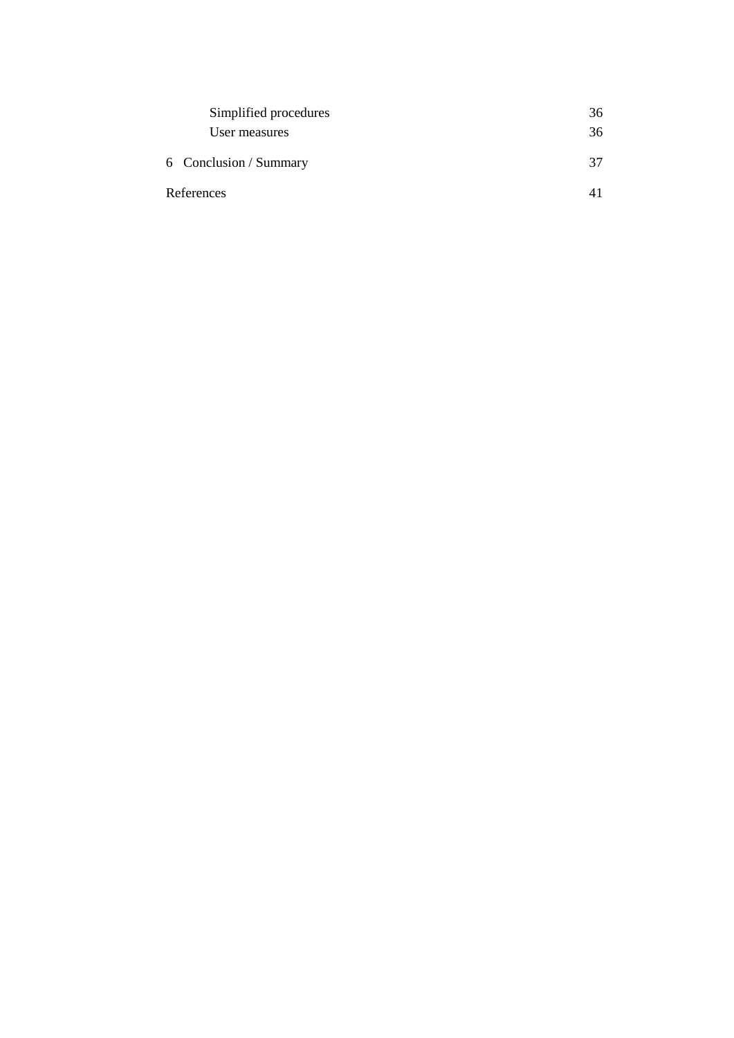| Simplified procedures  | 36 |  |
|------------------------|----|--|
| User measures          | 36 |  |
| 6 Conclusion / Summary | 37 |  |
| References             |    |  |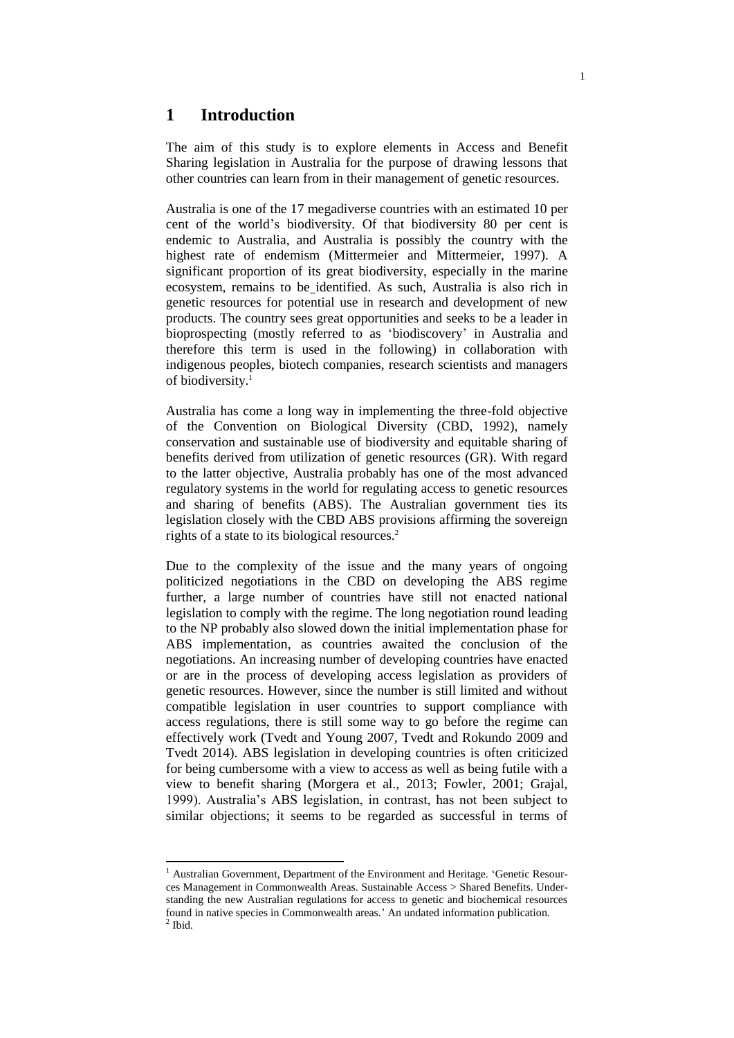# **1 Introduction**

The aim of this study is to explore elements in Access and Benefit Sharing legislation in Australia for the purpose of drawing lessons that other countries can learn from in their management of genetic resources.

Australia is one of the 17 megadiverse countries with an estimated 10 per cent of the world's biodiversity. Of that biodiversity 80 per cent is endemic to Australia, and Australia is possibly the country with the highest rate of endemism (Mittermeier and Mittermeier, 1997). A significant proportion of its great biodiversity, especially in the marine ecosystem, remains to be identified. As such, Australia is also rich in genetic resources for potential use in research and development of new products. The country sees great opportunities and seeks to be a leader in bioprospecting (mostly referred to as 'biodiscovery' in Australia and therefore this term is used in the following) in collaboration with indigenous peoples, biotech companies, research scientists and managers of biodiversity.<sup>1</sup>

Australia has come a long way in implementing the three-fold objective of the Convention on Biological Diversity (CBD, 1992), namely conservation and sustainable use of biodiversity and equitable sharing of benefits derived from utilization of genetic resources (GR). With regard to the latter objective, Australia probably has one of the most advanced regulatory systems in the world for regulating access to genetic resources and sharing of benefits (ABS). The Australian government ties its legislation closely with the CBD ABS provisions affirming the sovereign rights of a state to its biological resources.<sup>2</sup>

Due to the complexity of the issue and the many years of ongoing politicized negotiations in the CBD on developing the ABS regime further, a large number of countries have still not enacted national legislation to comply with the regime. The long negotiation round leading to the NP probably also slowed down the initial implementation phase for ABS implementation, as countries awaited the conclusion of the negotiations. An increasing number of developing countries have enacted or are in the process of developing access legislation as providers of genetic resources. However, since the number is still limited and without compatible legislation in user countries to support compliance with access regulations, there is still some way to go before the regime can effectively work (Tvedt and Young 2007, Tvedt and Rokundo 2009 and Tvedt 2014). ABS legislation in developing countries is often criticized for being cumbersome with a view to access as well as being futile with a view to benefit sharing (Morgera et al., 2013; Fowler, 2001; Grajal, 1999). Australia's ABS legislation, in contrast, has not been subject to similar objections; it seems to be regarded as successful in terms of

<sup>&</sup>lt;sup>1</sup> Australian Government, Department of the Environment and Heritage. 'Genetic Resources Management in Commonwealth Areas. Sustainable Access > Shared Benefits. Understanding the new Australian regulations for access to genetic and biochemical resources found in native species in Commonwealth areas.' An undated information publication.  $<sup>2</sup>$  Ibid.</sup>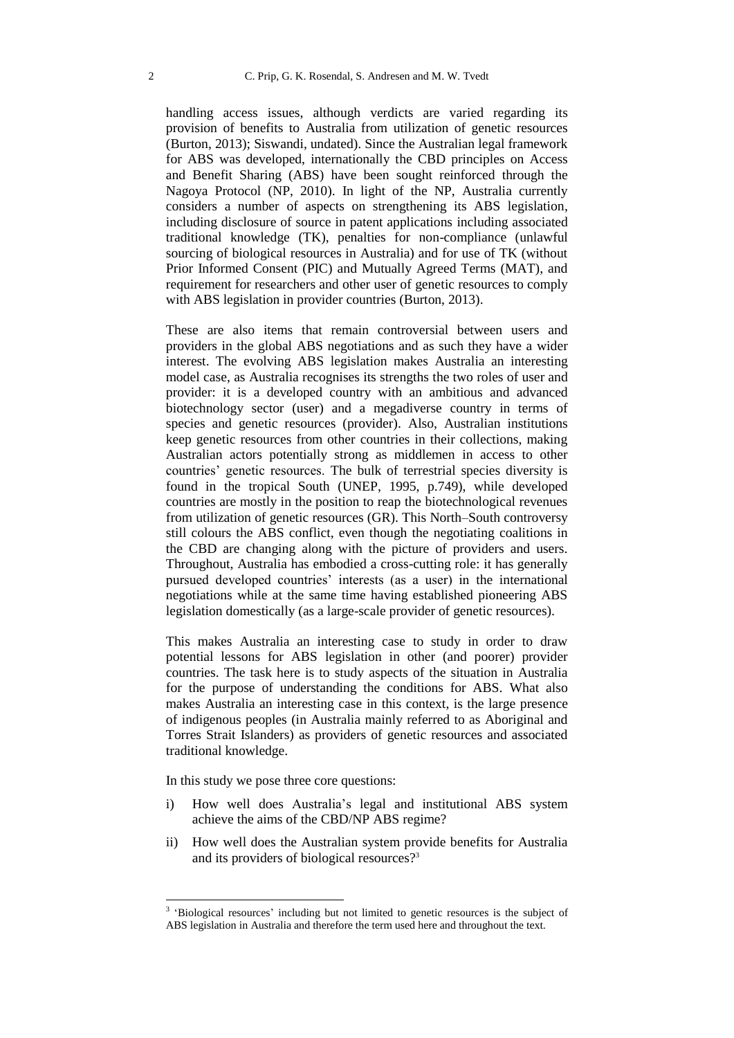handling access issues, although verdicts are varied regarding its provision of benefits to Australia from utilization of genetic resources (Burton, 2013); Siswandi, undated). Since the Australian legal framework for ABS was developed, internationally the CBD principles on Access and Benefit Sharing (ABS) have been sought reinforced through the Nagoya Protocol (NP, 2010). In light of the NP, Australia currently considers a number of aspects on strengthening its ABS legislation, including disclosure of source in patent applications including associated traditional knowledge (TK), penalties for non-compliance (unlawful sourcing of biological resources in Australia) and for use of TK (without Prior Informed Consent (PIC) and Mutually Agreed Terms (MAT), and requirement for researchers and other user of genetic resources to comply with ABS legislation in provider countries (Burton, 2013).

These are also items that remain controversial between users and providers in the global ABS negotiations and as such they have a wider interest. The evolving ABS legislation makes Australia an interesting model case, as Australia recognises its strengths the two roles of user and provider: it is a developed country with an ambitious and advanced biotechnology sector (user) and a megadiverse country in terms of species and genetic resources (provider). Also, Australian institutions keep genetic resources from other countries in their collections, making Australian actors potentially strong as middlemen in access to other countries' genetic resources. The bulk of terrestrial species diversity is found in the tropical South (UNEP, 1995, p.749), while developed countries are mostly in the position to reap the biotechnological revenues from utilization of genetic resources (GR). This North–South controversy still colours the ABS conflict, even though the negotiating coalitions in the CBD are changing along with the picture of providers and users. Throughout, Australia has embodied a cross-cutting role: it has generally pursued developed countries' interests (as a user) in the international negotiations while at the same time having established pioneering ABS legislation domestically (as a large-scale provider of genetic resources).

This makes Australia an interesting case to study in order to draw potential lessons for ABS legislation in other (and poorer) provider countries. The task here is to study aspects of the situation in Australia for the purpose of understanding the conditions for ABS. What also makes Australia an interesting case in this context, is the large presence of indigenous peoples (in Australia mainly referred to as Aboriginal and Torres Strait Islanders) as providers of genetic resources and associated traditional knowledge.

In this study we pose three core questions:

- i) How well does Australia's legal and institutional ABS system achieve the aims of the CBD/NP ABS regime?
- ii) How well does the Australian system provide benefits for Australia and its providers of biological resources?<sup>3</sup>

<sup>&</sup>lt;sup>3</sup> 'Biological resources' including but not limited to genetic resources is the subject of ABS legislation in Australia and therefore the term used here and throughout the text.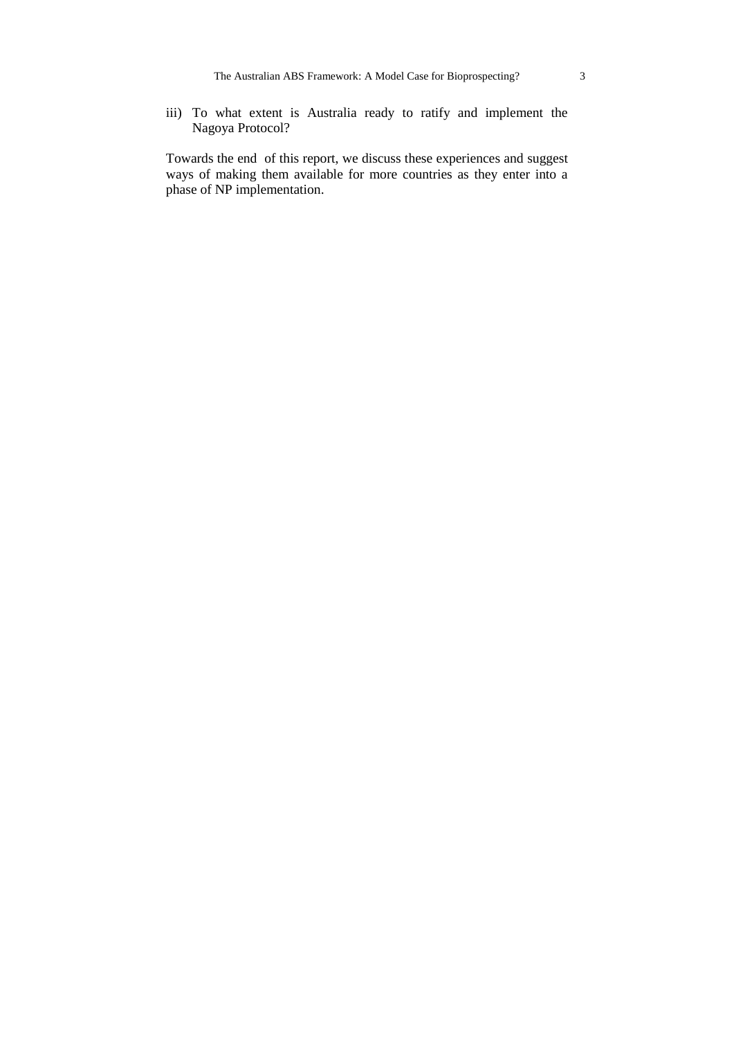iii) To what extent is Australia ready to ratify and implement the Nagoya Protocol?

Towards the end of this report, we discuss these experiences and suggest ways of making them available for more countries as they enter into a phase of NP implementation.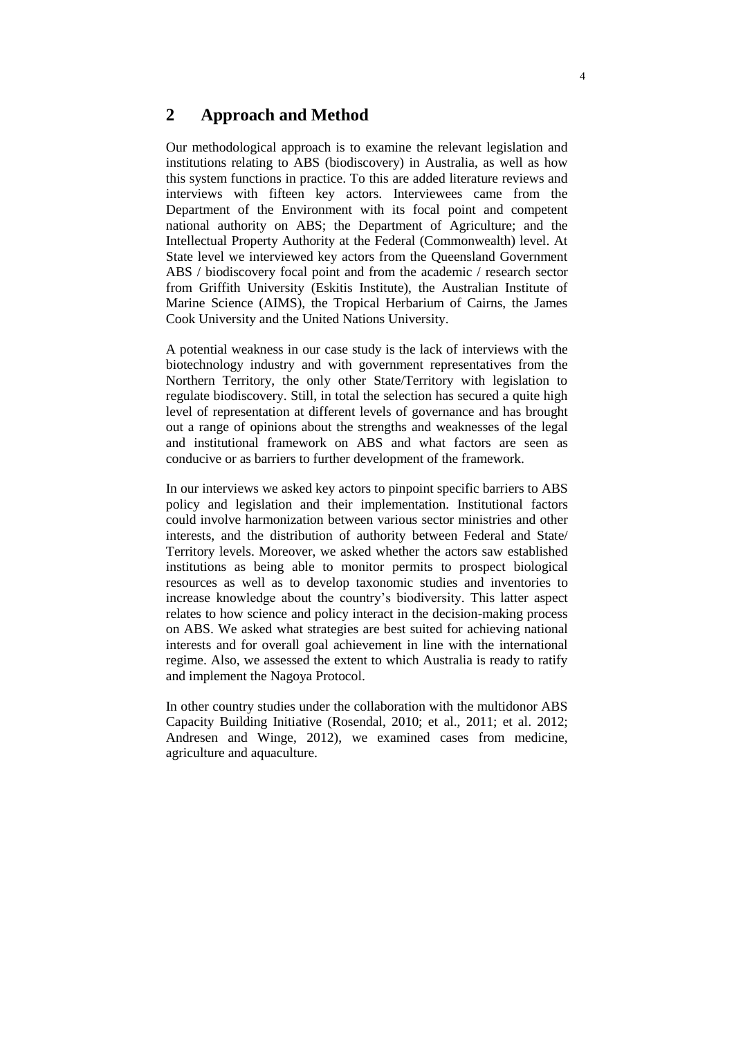# **2 Approach and Method**

Our methodological approach is to examine the relevant legislation and institutions relating to ABS (biodiscovery) in Australia, as well as how this system functions in practice. To this are added literature reviews and interviews with fifteen key actors. Interviewees came from the Department of the Environment with its focal point and competent national authority on ABS; the Department of Agriculture; and the Intellectual Property Authority at the Federal (Commonwealth) level. At State level we interviewed key actors from the Queensland Government ABS / biodiscovery focal point and from the academic / research sector from Griffith University (Eskitis Institute), the Australian Institute of Marine Science (AIMS), the Tropical Herbarium of Cairns, the James Cook University and the United Nations University.

A potential weakness in our case study is the lack of interviews with the biotechnology industry and with government representatives from the Northern Territory, the only other State/Territory with legislation to regulate biodiscovery. Still, in total the selection has secured a quite high level of representation at different levels of governance and has brought out a range of opinions about the strengths and weaknesses of the legal and institutional framework on ABS and what factors are seen as conducive or as barriers to further development of the framework.

In our interviews we asked key actors to pinpoint specific barriers to ABS policy and legislation and their implementation. Institutional factors could involve harmonization between various sector ministries and other interests, and the distribution of authority between Federal and State/ Territory levels. Moreover, we asked whether the actors saw established institutions as being able to monitor permits to prospect biological resources as well as to develop taxonomic studies and inventories to increase knowledge about the country's biodiversity. This latter aspect relates to how science and policy interact in the decision-making process on ABS. We asked what strategies are best suited for achieving national interests and for overall goal achievement in line with the international regime. Also, we assessed the extent to which Australia is ready to ratify and implement the Nagoya Protocol.

In other country studies under the collaboration with the multidonor ABS Capacity Building Initiative (Rosendal, 2010; et al., 2011; et al. 2012; Andresen and Winge, 2012), we examined cases from medicine, agriculture and aquaculture.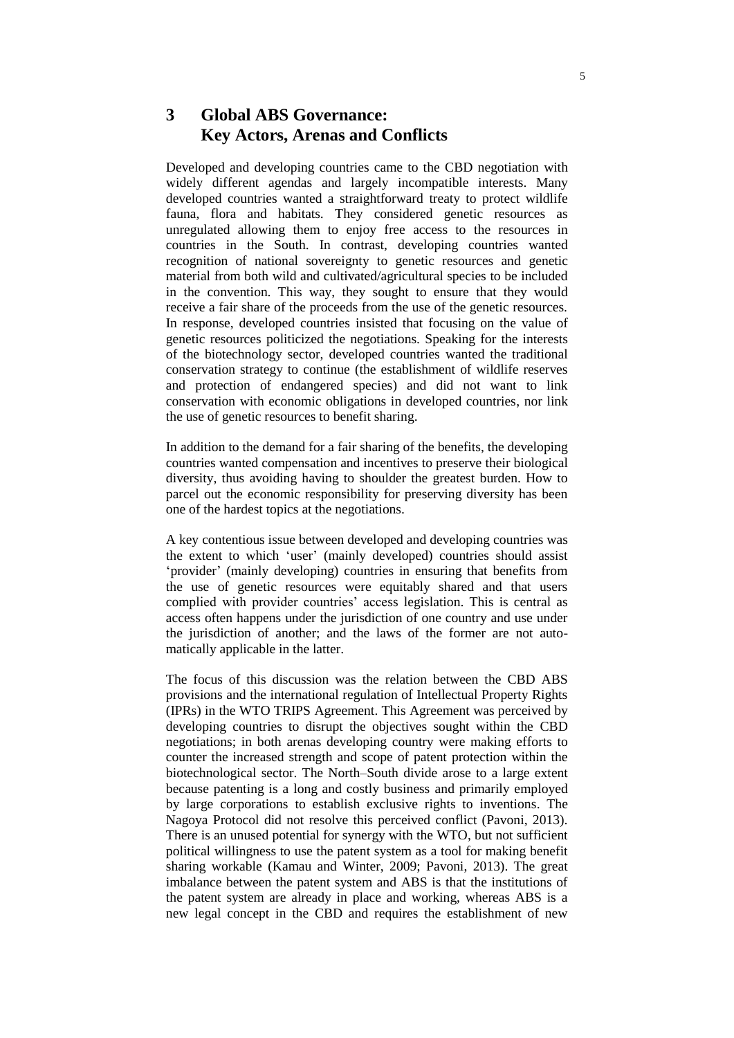# **3 Global ABS Governance: Key Actors, Arenas and Conflicts**

Developed and developing countries came to the CBD negotiation with widely different agendas and largely incompatible interests. Many developed countries wanted a straightforward treaty to protect wildlife fauna, flora and habitats. They considered genetic resources as unregulated allowing them to enjoy free access to the resources in countries in the South. In contrast, developing countries wanted recognition of national sovereignty to genetic resources and genetic material from both wild and cultivated/agricultural species to be included in the convention. This way, they sought to ensure that they would receive a fair share of the proceeds from the use of the genetic resources. In response, developed countries insisted that focusing on the value of genetic resources politicized the negotiations. Speaking for the interests of the biotechnology sector, developed countries wanted the traditional conservation strategy to continue (the establishment of wildlife reserves and protection of endangered species) and did not want to link conservation with economic obligations in developed countries, nor link the use of genetic resources to benefit sharing.

In addition to the demand for a fair sharing of the benefits, the developing countries wanted compensation and incentives to preserve their biological diversity, thus avoiding having to shoulder the greatest burden. How to parcel out the economic responsibility for preserving diversity has been one of the hardest topics at the negotiations.

A key contentious issue between developed and developing countries was the extent to which 'user' (mainly developed) countries should assist 'provider' (mainly developing) countries in ensuring that benefits from the use of genetic resources were equitably shared and that users complied with provider countries' access legislation. This is central as access often happens under the jurisdiction of one country and use under the jurisdiction of another; and the laws of the former are not automatically applicable in the latter.

The focus of this discussion was the relation between the CBD ABS provisions and the international regulation of Intellectual Property Rights (IPRs) in the WTO TRIPS Agreement. This Agreement was perceived by developing countries to disrupt the objectives sought within the CBD negotiations; in both arenas developing country were making efforts to counter the increased strength and scope of patent protection within the biotechnological sector. The North–South divide arose to a large extent because patenting is a long and costly business and primarily employed by large corporations to establish exclusive rights to inventions. The Nagoya Protocol did not resolve this perceived conflict (Pavoni, 2013). There is an unused potential for synergy with the WTO, but not sufficient political willingness to use the patent system as a tool for making benefit sharing workable (Kamau and Winter, 2009; Pavoni, 2013). The great imbalance between the patent system and ABS is that the institutions of the patent system are already in place and working, whereas ABS is a new legal concept in the CBD and requires the establishment of new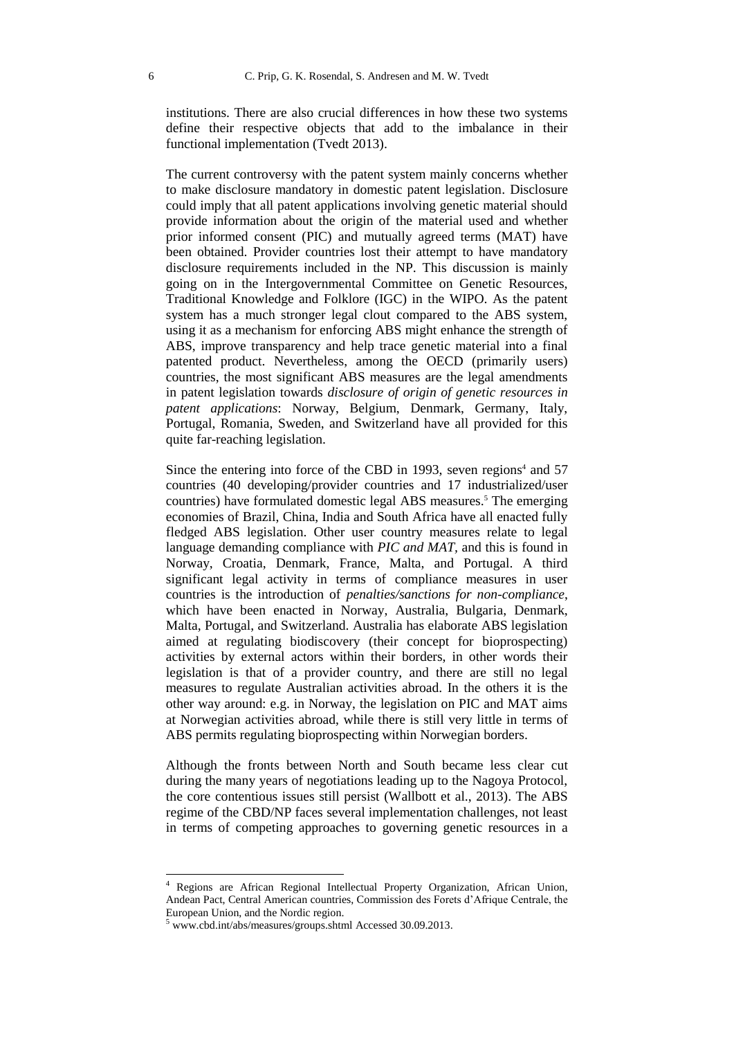institutions. There are also crucial differences in how these two systems define their respective objects that add to the imbalance in their functional implementation (Tvedt 2013).

The current controversy with the patent system mainly concerns whether to make disclosure mandatory in domestic patent legislation. Disclosure could imply that all patent applications involving genetic material should provide information about the origin of the material used and whether prior informed consent (PIC) and mutually agreed terms (MAT) have been obtained. Provider countries lost their attempt to have mandatory disclosure requirements included in the NP. This discussion is mainly going on in the Intergovernmental Committee on Genetic Resources, Traditional Knowledge and Folklore (IGC) in the WIPO. As the patent system has a much stronger legal clout compared to the ABS system, using it as a mechanism for enforcing ABS might enhance the strength of ABS, improve transparency and help trace genetic material into a final patented product. Nevertheless, among the OECD (primarily users) countries, the most significant ABS measures are the legal amendments in patent legislation towards *disclosure of origin of genetic resources in patent applications*: Norway, Belgium, Denmark, Germany, Italy, Portugal, Romania, Sweden, and Switzerland have all provided for this quite far-reaching legislation.

Since the entering into force of the CBD in 1993, seven regions<sup>4</sup> and  $57$ countries (40 developing/provider countries and 17 industrialized/user countries) have formulated domestic legal ABS measures.<sup>5</sup> The emerging economies of Brazil, China, India and South Africa have all enacted fully fledged ABS legislation. Other user country measures relate to legal language demanding compliance with *PIC and MAT,* and this is found in Norway, Croatia, Denmark, France, Malta, and Portugal. A third significant legal activity in terms of compliance measures in user countries is the introduction of *penalties/sanctions for non-compliance*, which have been enacted in Norway, Australia, Bulgaria, Denmark, Malta, Portugal, and Switzerland. Australia has elaborate ABS legislation aimed at regulating biodiscovery (their concept for bioprospecting) activities by external actors within their borders, in other words their legislation is that of a provider country, and there are still no legal measures to regulate Australian activities abroad. In the others it is the other way around: e.g. in Norway, the legislation on PIC and MAT aims at Norwegian activities abroad, while there is still very little in terms of ABS permits regulating bioprospecting within Norwegian borders.

Although the fronts between North and South became less clear cut during the many years of negotiations leading up to the Nagoya Protocol, the core contentious issues still persist (Wallbott et al., 2013). The ABS regime of the CBD/NP faces several implementation challenges, not least in terms of competing approaches to governing genetic resources in a

-

<sup>4</sup> Regions are African Regional Intellectual Property Organization, African Union, Andean Pact, Central American countries, Commission des Forets d'Afrique Centrale, the European Union, and the Nordic region.

<sup>5</sup> www.cbd.int/abs/measures/groups.shtml Accessed 30.09.2013.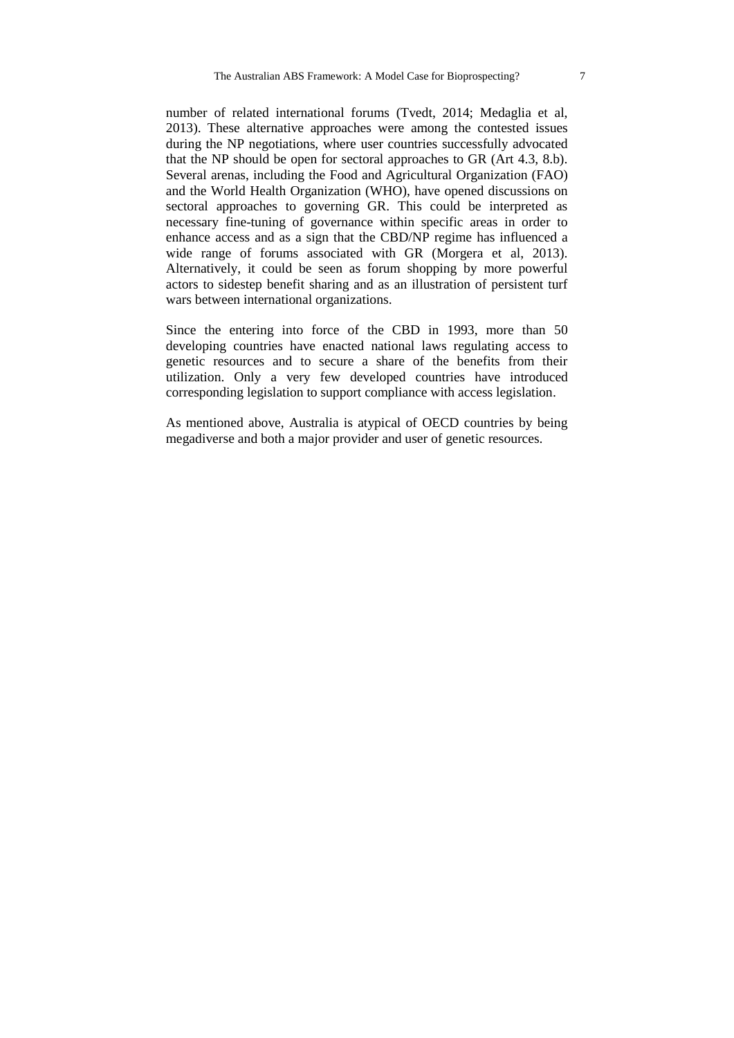number of related international forums (Tvedt, 2014; Medaglia et al, 2013). These alternative approaches were among the contested issues during the NP negotiations, where user countries successfully advocated that the NP should be open for sectoral approaches to GR (Art 4.3, 8.b). Several arenas, including the Food and Agricultural Organization (FAO) and the World Health Organization (WHO), have opened discussions on sectoral approaches to governing GR. This could be interpreted as necessary fine-tuning of governance within specific areas in order to enhance access and as a sign that the CBD/NP regime has influenced a wide range of forums associated with GR (Morgera et al, 2013). Alternatively, it could be seen as forum shopping by more powerful actors to sidestep benefit sharing and as an illustration of persistent turf wars between international organizations.

Since the entering into force of the CBD in 1993, more than 50 developing countries have enacted national laws regulating access to genetic resources and to secure a share of the benefits from their utilization. Only a very few developed countries have introduced corresponding legislation to support compliance with access legislation.

As mentioned above, Australia is atypical of OECD countries by being megadiverse and both a major provider and user of genetic resources.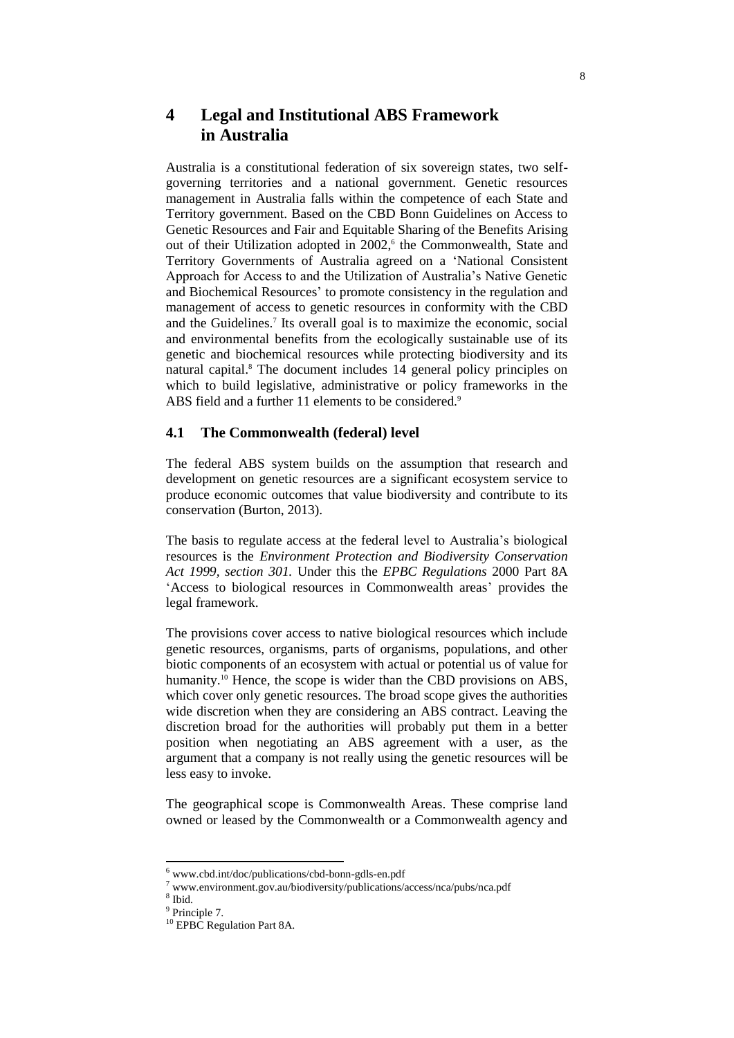# **4 Legal and Institutional ABS Framework in Australia**

Australia is a constitutional federation of six sovereign states, two selfgoverning territories and a national government. Genetic resources management in Australia falls within the competence of each State and Territory government. Based on the CBD Bonn Guidelines on Access to Genetic Resources and Fair and Equitable Sharing of the Benefits Arising out of their Utilization adopted in 2002, 6 the Commonwealth, State and Territory Governments of Australia agreed on a 'National Consistent Approach for Access to and the Utilization of Australia's Native Genetic and Biochemical Resources' to promote consistency in the regulation and management of access to genetic resources in conformity with the CBD and the Guidelines.<sup>7</sup> Its overall goal is to maximize the economic, social and environmental benefits from the ecologically sustainable use of its genetic and biochemical resources while protecting biodiversity and its natural capital. <sup>8</sup> The document includes 14 general policy principles on which to build legislative, administrative or policy frameworks in the ABS field and a further 11 elements to be considered.<sup>9</sup>

## **4.1 The Commonwealth (federal) level**

The federal ABS system builds on the assumption that research and development on genetic resources are a significant ecosystem service to produce economic outcomes that value biodiversity and contribute to its conservation (Burton, 2013).

The basis to regulate access at the federal level to Australia's biological resources is the *Environment Protection and Biodiversity Conservation Act 1999, section 301.* Under this the *EPBC Regulations* 2000 Part 8A 'Access to biological resources in Commonwealth areas' provides the legal framework.

The provisions cover access to native biological resources which include genetic resources, organisms, parts of organisms, populations, and other biotic components of an ecosystem with actual or potential us of value for humanity.<sup>10</sup> Hence, the scope is wider than the CBD provisions on ABS, which cover only genetic resources. The broad scope gives the authorities wide discretion when they are considering an ABS contract. Leaving the discretion broad for the authorities will probably put them in a better position when negotiating an ABS agreement with a user, as the argument that a company is not really using the genetic resources will be less easy to invoke.

The geographical scope is Commonwealth Areas. These comprise land owned or leased by the Commonwealth or a Commonwealth agency and

 $6$  www.cbd.int/doc/publications/cbd-bonn-gdls-en.pdf

<sup>7</sup> www.environment.gov.au/biodiversity/publications/access/nca/pubs/nca.pdf

<sup>8</sup> Ibid.

<sup>&</sup>lt;sup>9</sup> Principle 7.

<sup>&</sup>lt;sup>10</sup> EPBC Regulation Part 8A.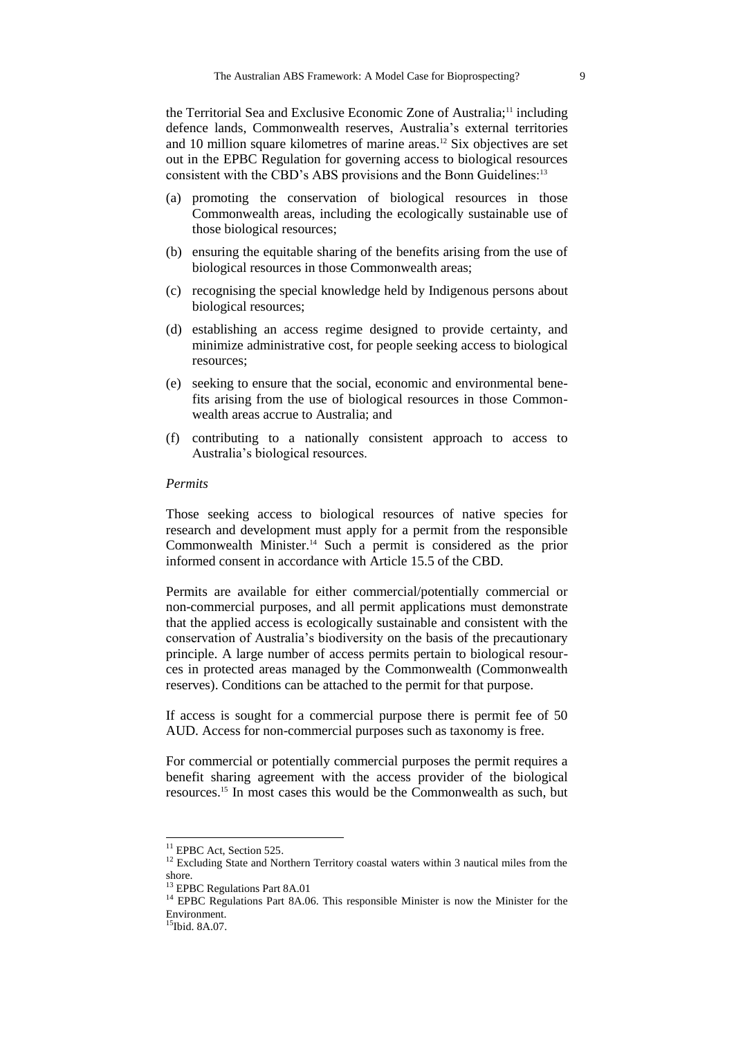the Territorial Sea and Exclusive Economic Zone of Australia;<sup>11</sup> including defence lands, Commonwealth reserves, Australia's external territories and 10 million square kilometres of marine areas.<sup>12</sup> Six objectives are set out in the EPBC Regulation for governing access to biological resources consistent with the CBD's ABS provisions and the Bonn Guidelines:<sup>13</sup>

- (a) promoting the conservation of biological resources in those Commonwealth areas, including the ecologically sustainable use of those biological resources;
- (b) ensuring the equitable sharing of the benefits arising from the use of biological resources in those Commonwealth areas;
- (c) recognising the special knowledge held by Indigenous persons about biological resources;
- (d) establishing an access regime designed to provide certainty, and minimize administrative cost, for people seeking access to biological resources;
- (e) seeking to ensure that the social, economic and environmental benefits arising from the use of biological resources in those Commonwealth areas accrue to Australia; and
- (f) contributing to a nationally consistent approach to access to Australia's biological resources.

#### *Permits*

Those seeking access to biological resources of native species for research and development must apply for a permit from the responsible Commonwealth Minister.<sup>14</sup> Such a permit is considered as the prior informed consent in accordance with Article 15.5 of the CBD.

Permits are available for either commercial/potentially commercial or non-commercial purposes, and all permit applications must demonstrate that the applied access is ecologically sustainable and consistent with the conservation of Australia's biodiversity on the basis of the precautionary principle. A large number of access permits pertain to biological resources in protected areas managed by the Commonwealth (Commonwealth reserves). Conditions can be attached to the permit for that purpose.

If access is sought for a commercial purpose there is permit fee of 50 AUD. Access for non-commercial purposes such as taxonomy is free.

For commercial or potentially commercial purposes the permit requires a benefit sharing agreement with the access provider of the biological resources.<sup>15</sup> In most cases this would be the Commonwealth as such, but

<sup>&</sup>lt;sup>11</sup> EPBC Act, Section 525.

<sup>&</sup>lt;sup>12</sup> Excluding State and Northern Territory coastal waters within 3 nautical miles from the shore.

<sup>&</sup>lt;sup>13</sup> EPBC Regulations Part 8A.01

<sup>&</sup>lt;sup>14</sup> EPBC Regulations Part 8A.06. This responsible Minister is now the Minister for the Environment.

<sup>&</sup>lt;sup>15</sup>Ibid. 8A.07.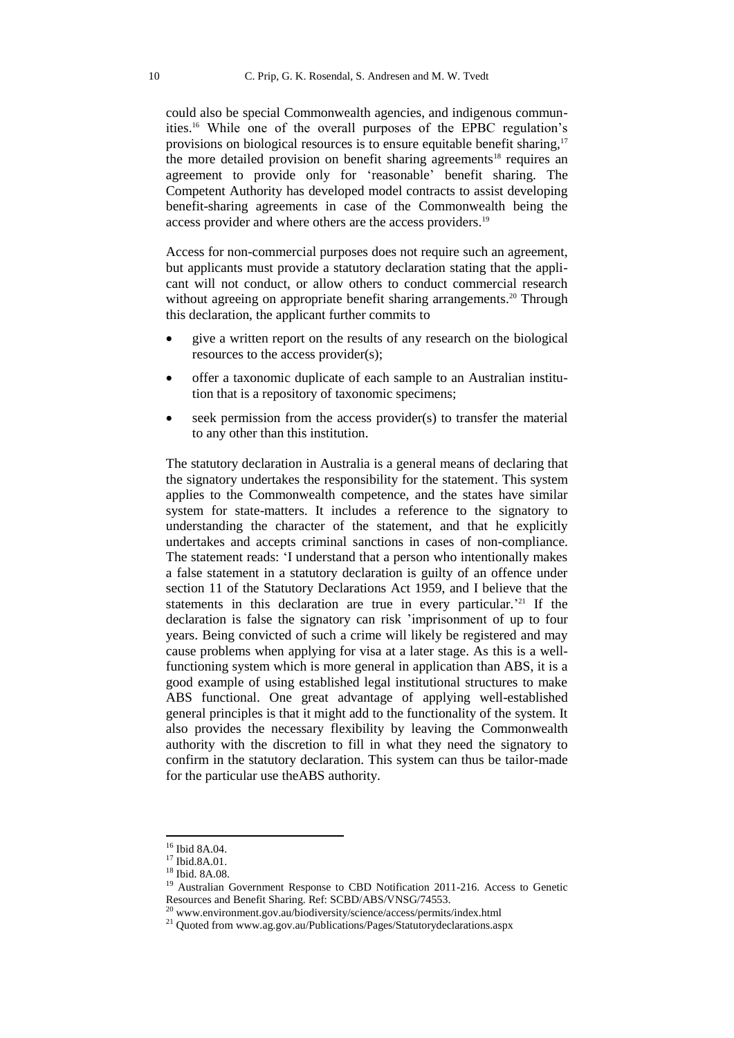could also be special Commonwealth agencies, and indigenous communities.<sup>16</sup> While one of the overall purposes of the EPBC regulation's provisions on biological resources is to ensure equitable benefit sharing,<sup>17</sup> the more detailed provision on benefit sharing agreements<sup>18</sup> requires an agreement to provide only for 'reasonable' benefit sharing. The Competent Authority has developed model contracts to assist developing benefit-sharing agreements in case of the Commonwealth being the access provider and where others are the access providers.<sup>19</sup>

Access for non-commercial purposes does not require such an agreement, but applicants must provide a statutory declaration stating that the applicant will not conduct, or allow others to conduct commercial research without agreeing on appropriate benefit sharing arrangements.<sup>20</sup> Through this declaration, the applicant further commits to

- give a written report on the results of any research on the biological resources to the access provider(s);
- offer a taxonomic duplicate of each sample to an Australian institution that is a repository of taxonomic specimens;
- seek permission from the access provider(s) to transfer the material to any other than this institution.

The statutory declaration in Australia is a general means of declaring that the signatory undertakes the responsibility for the statement. This system applies to the Commonwealth competence, and the states have similar system for state-matters. It includes a reference to the signatory to understanding the character of the statement, and that he explicitly undertakes and accepts criminal sanctions in cases of non-compliance. The statement reads: 'I understand that a person who intentionally makes a false statement in a statutory declaration is guilty of an offence under section 11 of the Statutory Declarations Act 1959, and I believe that the statements in this declaration are true in every particular.<sup>221</sup> If the declaration is false the signatory can risk 'imprisonment of up to four years. Being convicted of such a crime will likely be registered and may cause problems when applying for visa at a later stage. As this is a wellfunctioning system which is more general in application than ABS, it is a good example of using established legal institutional structures to make ABS functional. One great advantage of applying well-established general principles is that it might add to the functionality of the system. It also provides the necessary flexibility by leaving the Commonwealth authority with the discretion to fill in what they need the signatory to confirm in the statutory declaration. This system can thus be tailor-made for the particular use theABS authority.

<sup>16</sup> Ibid 8A.04.

<sup>17</sup> Ibid.8A.01.

<sup>18</sup> Ibid. 8A.08.

<sup>&</sup>lt;sup>19</sup> Australian Government Response to CBD Notification 2011-216. Access to Genetic Resources and Benefit Sharing. Ref: SCBD/ABS/VNSG/74553.

<sup>&</sup>lt;sup>20</sup> www.environment.gov.au/biodiversity/science/access/permits/index.html

<sup>&</sup>lt;sup>21</sup> Quoted from www.ag.gov.au/Publications/Pages/Statutorydeclarations.aspx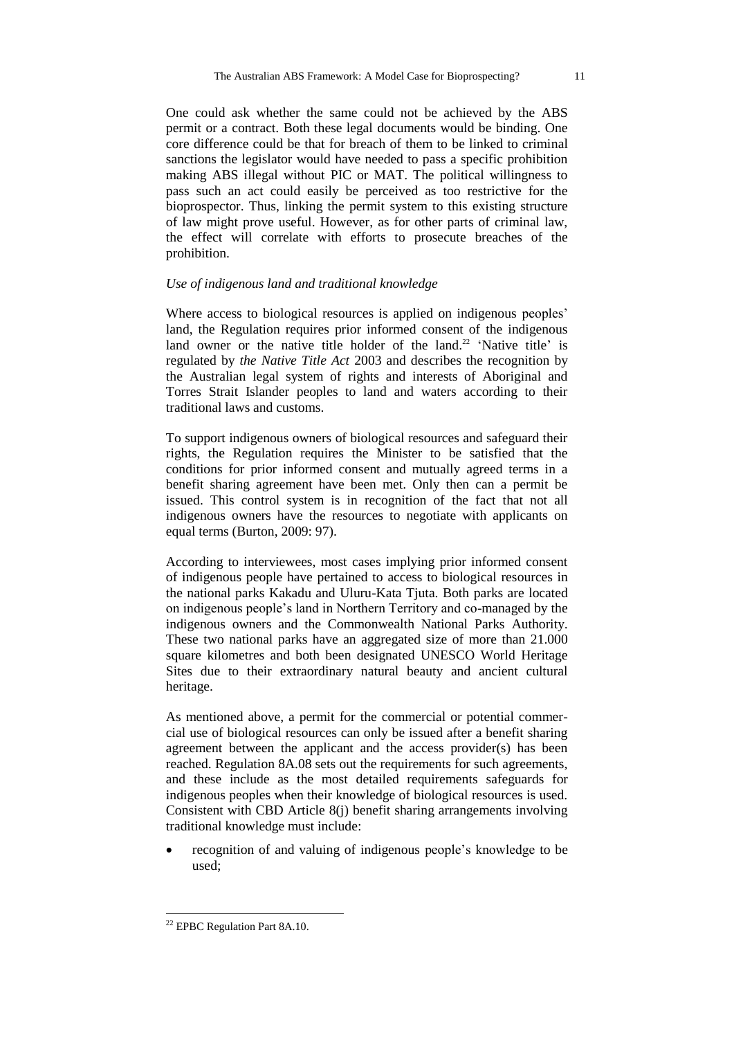One could ask whether the same could not be achieved by the ABS permit or a contract. Both these legal documents would be binding. One core difference could be that for breach of them to be linked to criminal sanctions the legislator would have needed to pass a specific prohibition making ABS illegal without PIC or MAT. The political willingness to pass such an act could easily be perceived as too restrictive for the bioprospector. Thus, linking the permit system to this existing structure of law might prove useful. However, as for other parts of criminal law, the effect will correlate with efforts to prosecute breaches of the prohibition.

## *Use of indigenous land and traditional knowledge*

Where access to biological resources is applied on indigenous peoples' land, the Regulation requires prior informed consent of the indigenous land owner or the native title holder of the land.<sup>22</sup> 'Native title' is regulated by *the Native Title Act* 2003 and describes the recognition by the Australian legal system of rights and interests of Aboriginal and Torres Strait Islander peoples to land and waters according to their traditional laws and customs.

To support indigenous owners of biological resources and safeguard their rights, the Regulation requires the Minister to be satisfied that the conditions for prior informed consent and mutually agreed terms in a benefit sharing agreement have been met. Only then can a permit be issued. This control system is in recognition of the fact that not all indigenous owners have the resources to negotiate with applicants on equal terms (Burton, 2009: 97).

According to interviewees, most cases implying prior informed consent of indigenous people have pertained to access to biological resources in the national parks Kakadu and Uluru-Kata Tjuta. Both parks are located on indigenous people's land in Northern Territory and co-managed by the indigenous owners and the Commonwealth National Parks Authority. These two national parks have an aggregated size of more than 21.000 square kilometres and both been designated UNESCO World Heritage Sites due to their extraordinary natural beauty and ancient cultural heritage.

As mentioned above, a permit for the commercial or potential commercial use of biological resources can only be issued after a benefit sharing agreement between the applicant and the access provider(s) has been reached. Regulation 8A.08 sets out the requirements for such agreements, and these include as the most detailed requirements safeguards for indigenous peoples when their knowledge of biological resources is used. Consistent with CBD Article 8(j) benefit sharing arrangements involving traditional knowledge must include:

 recognition of and valuing of indigenous people's knowledge to be used;

-

 $22$  EPBC Regulation Part 8A.10.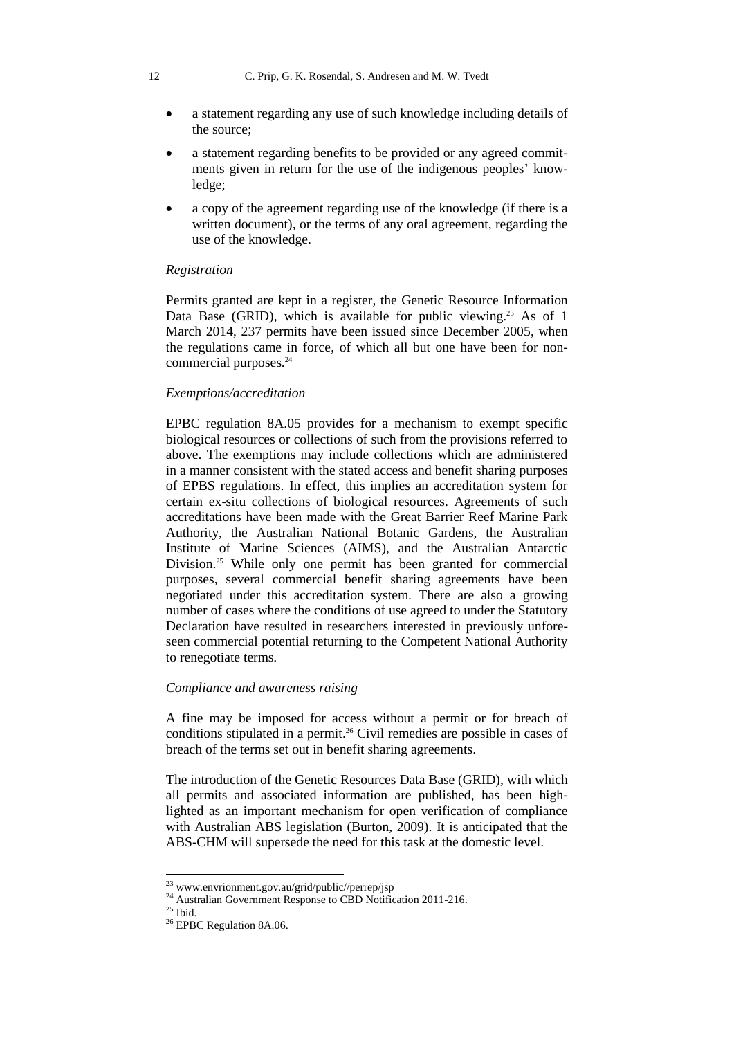- a statement regarding any use of such knowledge including details of the source;
- a statement regarding benefits to be provided or any agreed commitments given in return for the use of the indigenous peoples' knowledge;
- a copy of the agreement regarding use of the knowledge (if there is a written document), or the terms of any oral agreement, regarding the use of the knowledge.

#### *Registration*

Permits granted are kept in a register, the Genetic Resource Information Data Base (GRID), which is available for public viewing.<sup>23</sup> As of 1 March 2014, 237 permits have been issued since December 2005, when the regulations came in force, of which all but one have been for noncommercial purposes.<sup>24</sup>

#### *Exemptions/accreditation*

EPBC regulation 8A.05 provides for a mechanism to exempt specific biological resources or collections of such from the provisions referred to above. The exemptions may include collections which are administered in a manner consistent with the stated access and benefit sharing purposes of EPBS regulations. In effect, this implies an accreditation system for certain ex-situ collections of biological resources. Agreements of such accreditations have been made with the Great Barrier Reef Marine Park Authority, the Australian National Botanic Gardens, the Australian Institute of Marine Sciences (AIMS), and the Australian Antarctic Division.<sup>25</sup> While only one permit has been granted for commercial purposes, several commercial benefit sharing agreements have been negotiated under this accreditation system. There are also a growing number of cases where the conditions of use agreed to under the Statutory Declaration have resulted in researchers interested in previously unforeseen commercial potential returning to the Competent National Authority to renegotiate terms.

## *Compliance and awareness raising*

A fine may be imposed for access without a permit or for breach of conditions stipulated in a permit.<sup>26</sup> Civil remedies are possible in cases of breach of the terms set out in benefit sharing agreements.

The introduction of the Genetic Resources Data Base (GRID), with which all permits and associated information are published, has been highlighted as an important mechanism for open verification of compliance with Australian ABS legislation (Burton, 2009). It is anticipated that the ABS-CHM will supersede the need for this task at the domestic level.

-

<sup>23</sup> www.envrionment.gov.au/grid/public//perrep/jsp

<sup>&</sup>lt;sup>24</sup> Australian Government Response to CBD Notification 2011-216.

 $25$  Ibid.

<sup>&</sup>lt;sup>26</sup> EPBC Regulation 8A.06.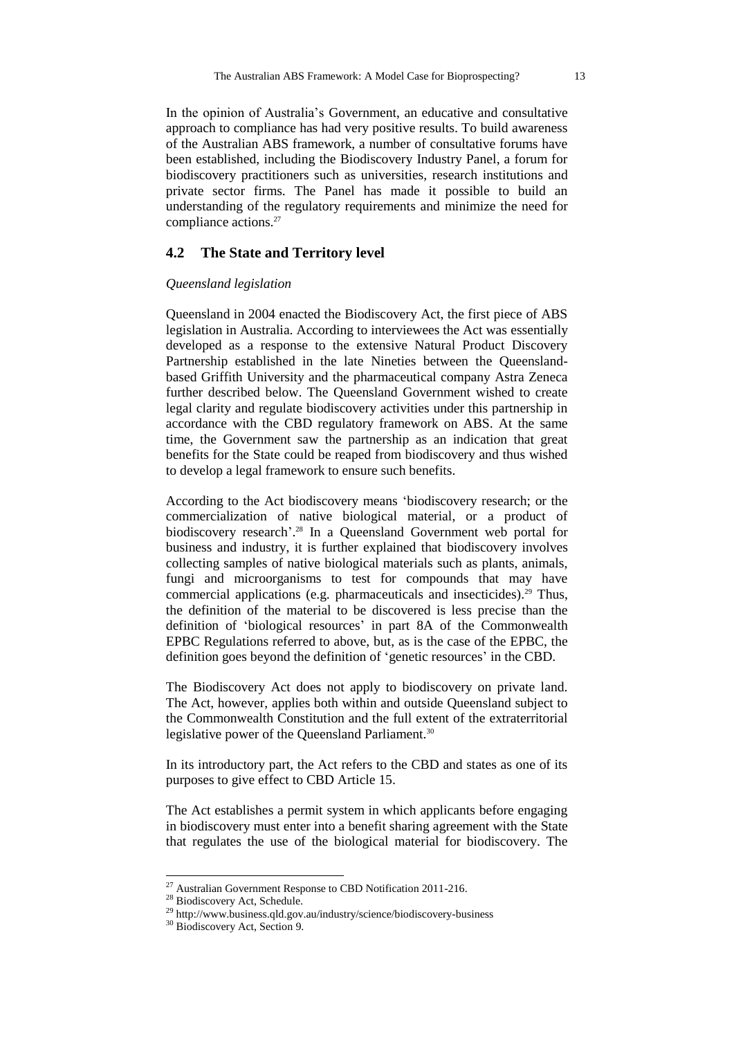In the opinion of Australia's Government, an educative and consultative approach to compliance has had very positive results. To build awareness of the Australian ABS framework, a number of consultative forums have been established, including the Biodiscovery Industry Panel, a forum for biodiscovery practitioners such as universities, research institutions and private sector firms. The Panel has made it possible to build an understanding of the regulatory requirements and minimize the need for compliance actions.<sup>27</sup>

## **4.2 The State and Territory level**

#### *Queensland legislation*

Queensland in 2004 enacted the Biodiscovery Act, the first piece of ABS legislation in Australia. According to interviewees the Act was essentially developed as a response to the extensive Natural Product Discovery Partnership established in the late Nineties between the Queenslandbased Griffith University and the pharmaceutical company Astra Zeneca further described below. The Queensland Government wished to create legal clarity and regulate biodiscovery activities under this partnership in accordance with the CBD regulatory framework on ABS. At the same time, the Government saw the partnership as an indication that great benefits for the State could be reaped from biodiscovery and thus wished to develop a legal framework to ensure such benefits.

According to the Act biodiscovery means 'biodiscovery research; or the commercialization of native biological material, or a product of biodiscovery research'. <sup>28</sup> In a Queensland Government web portal for business and industry, it is further explained that biodiscovery involves collecting samples of native biological materials such as plants, animals, fungi and microorganisms to test for compounds that may have commercial applications (e.g. pharmaceuticals and insecticides).<sup>29</sup> Thus, the definition of the material to be discovered is less precise than the definition of 'biological resources' in part 8A of the Commonwealth EPBC Regulations referred to above, but, as is the case of the EPBC, the definition goes beyond the definition of 'genetic resources' in the CBD.

The Biodiscovery Act does not apply to biodiscovery on private land. The Act, however, applies both within and outside Queensland subject to the Commonwealth Constitution and the full extent of the extraterritorial legislative power of the Queensland Parliament.<sup>30</sup>

In its introductory part, the Act refers to the CBD and states as one of its purposes to give effect to CBD Article 15.

The Act establishes a permit system in which applicants before engaging in biodiscovery must enter into a benefit sharing agreement with the State that regulates the use of the biological material for biodiscovery. The

 $^{27}$  Australian Government Response to CBD Notification 2011-216.

<sup>&</sup>lt;sup>28</sup> Biodiscovery Act, Schedule.

<sup>29</sup> http://www.business.qld.gov.au/industry/science/biodiscovery-business

<sup>&</sup>lt;sup>30</sup> Biodiscovery Act, Section 9.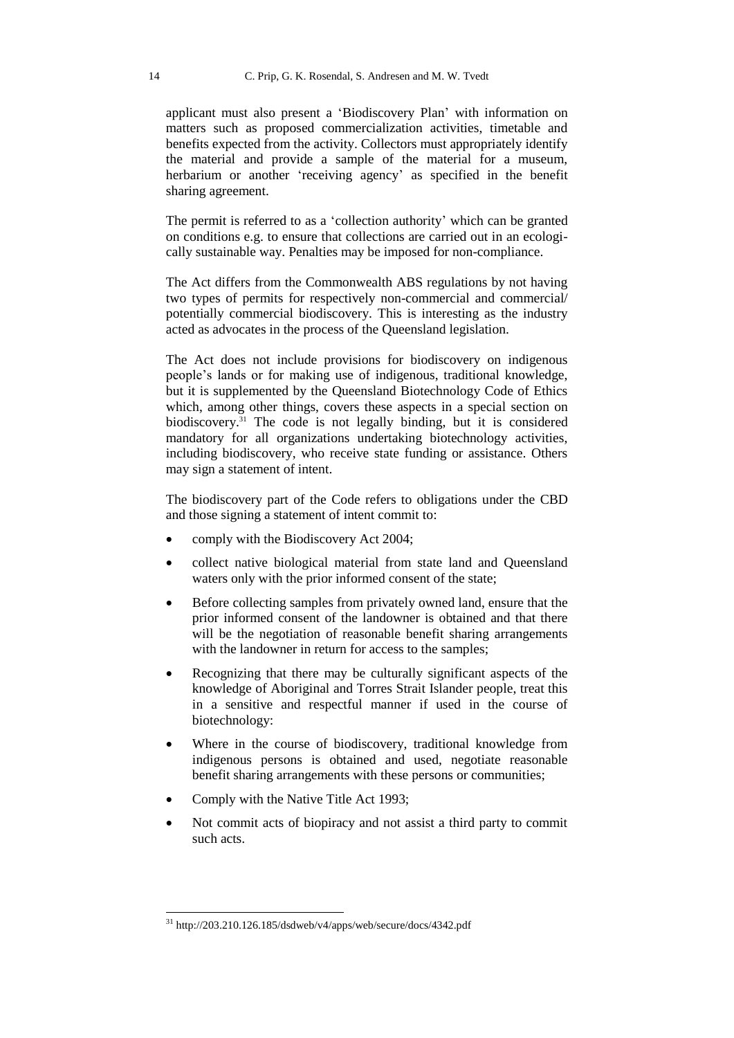applicant must also present a 'Biodiscovery Plan' with information on matters such as proposed commercialization activities, timetable and benefits expected from the activity. Collectors must appropriately identify the material and provide a sample of the material for a museum, herbarium or another 'receiving agency' as specified in the benefit sharing agreement.

The permit is referred to as a 'collection authority' which can be granted on conditions e.g. to ensure that collections are carried out in an ecologically sustainable way. Penalties may be imposed for non-compliance.

The Act differs from the Commonwealth ABS regulations by not having two types of permits for respectively non-commercial and commercial/ potentially commercial biodiscovery. This is interesting as the industry acted as advocates in the process of the Queensland legislation.

The Act does not include provisions for biodiscovery on indigenous people's lands or for making use of indigenous, traditional knowledge, but it is supplemented by the Queensland Biotechnology Code of Ethics which, among other things, covers these aspects in a special section on biodiscovery.<sup>31</sup> The code is not legally binding, but it is considered mandatory for all organizations undertaking biotechnology activities, including biodiscovery, who receive state funding or assistance. Others may sign a statement of intent.

The biodiscovery part of the Code refers to obligations under the CBD and those signing a statement of intent commit to:

- comply with the Biodiscovery Act 2004;
- collect native biological material from state land and Queensland waters only with the prior informed consent of the state;
- Before collecting samples from privately owned land, ensure that the prior informed consent of the landowner is obtained and that there will be the negotiation of reasonable benefit sharing arrangements with the landowner in return for access to the samples:
- Recognizing that there may be culturally significant aspects of the knowledge of Aboriginal and Torres Strait Islander people, treat this in a sensitive and respectful manner if used in the course of biotechnology:
- Where in the course of biodiscovery, traditional knowledge from indigenous persons is obtained and used, negotiate reasonable benefit sharing arrangements with these persons or communities;
- Comply with the Native Title Act 1993;

-

 Not commit acts of biopiracy and not assist a third party to commit such acts.

<sup>31</sup> http://203.210.126.185/dsdweb/v4/apps/web/secure/docs/4342.pdf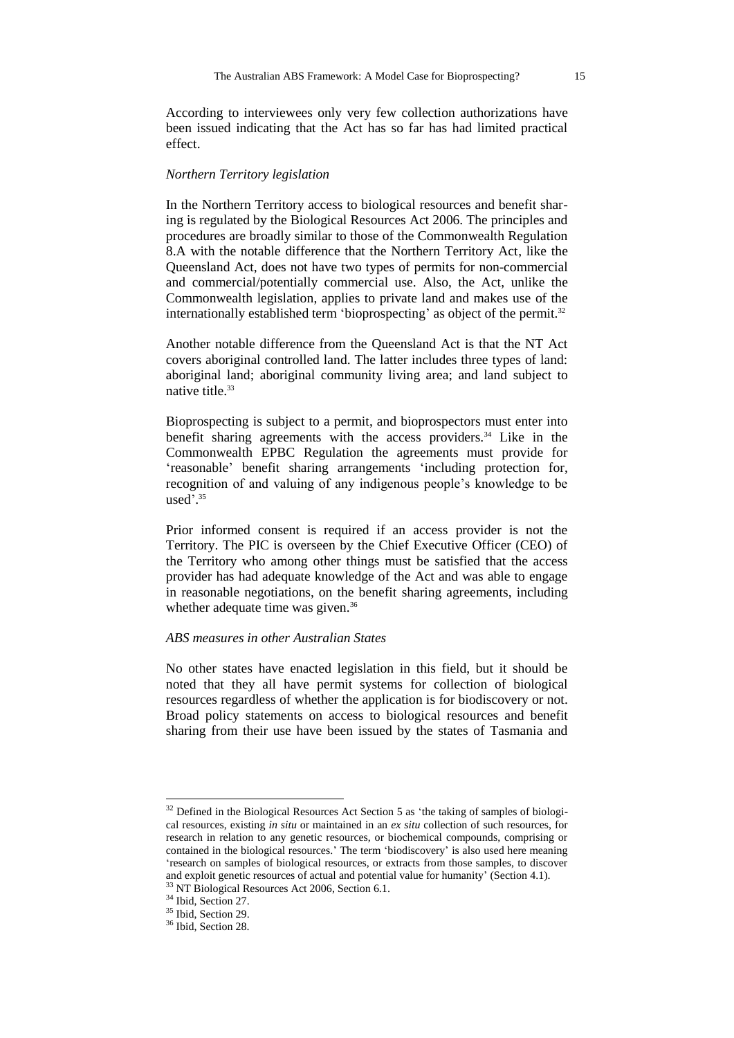According to interviewees only very few collection authorizations have been issued indicating that the Act has so far has had limited practical effect.

#### *Northern Territory legislation*

In the Northern Territory access to biological resources and benefit sharing is regulated by the Biological Resources Act 2006. The principles and procedures are broadly similar to those of the Commonwealth Regulation 8.A with the notable difference that the Northern Territory Act, like the Queensland Act, does not have two types of permits for non-commercial and commercial/potentially commercial use. Also, the Act, unlike the Commonwealth legislation, applies to private land and makes use of the internationally established term 'bioprospecting' as object of the permit.<sup>32</sup>

Another notable difference from the Queensland Act is that the NT Act covers aboriginal controlled land. The latter includes three types of land: aboriginal land; aboriginal community living area; and land subject to native title.<sup>33</sup>

Bioprospecting is subject to a permit, and bioprospectors must enter into benefit sharing agreements with the access providers.<sup>34</sup> Like in the Commonwealth EPBC Regulation the agreements must provide for 'reasonable' benefit sharing arrangements 'including protection for, recognition of and valuing of any indigenous people's knowledge to be used'. 35

Prior informed consent is required if an access provider is not the Territory. The PIC is overseen by the Chief Executive Officer (CEO) of the Territory who among other things must be satisfied that the access provider has had adequate knowledge of the Act and was able to engage in reasonable negotiations, on the benefit sharing agreements, including whether adequate time was given.<sup>36</sup>

#### *ABS measures in other Australian States*

No other states have enacted legislation in this field, but it should be noted that they all have permit systems for collection of biological resources regardless of whether the application is for biodiscovery or not. Broad policy statements on access to biological resources and benefit sharing from their use have been issued by the states of Tasmania and

 $32$  Defined in the Biological Resources Act Section 5 as 'the taking of samples of biological resources, existing *in situ* or maintained in an *ex situ* collection of such resources, for research in relation to any genetic resources, or biochemical compounds, comprising or contained in the biological resources.' The term 'biodiscovery' is also used here meaning 'research on samples of biological resources, or extracts from those samples, to discover and exploit genetic resources of actual and potential value for humanity' (Section 4.1). <sup>33</sup> NT Biological Resources Act 2006, Section 6.1.

<sup>&</sup>lt;sup>34</sup> Ibid, Section 27.  $35$  Ibid. Section 29.

<sup>&</sup>lt;sup>36</sup> Ibid, Section 28.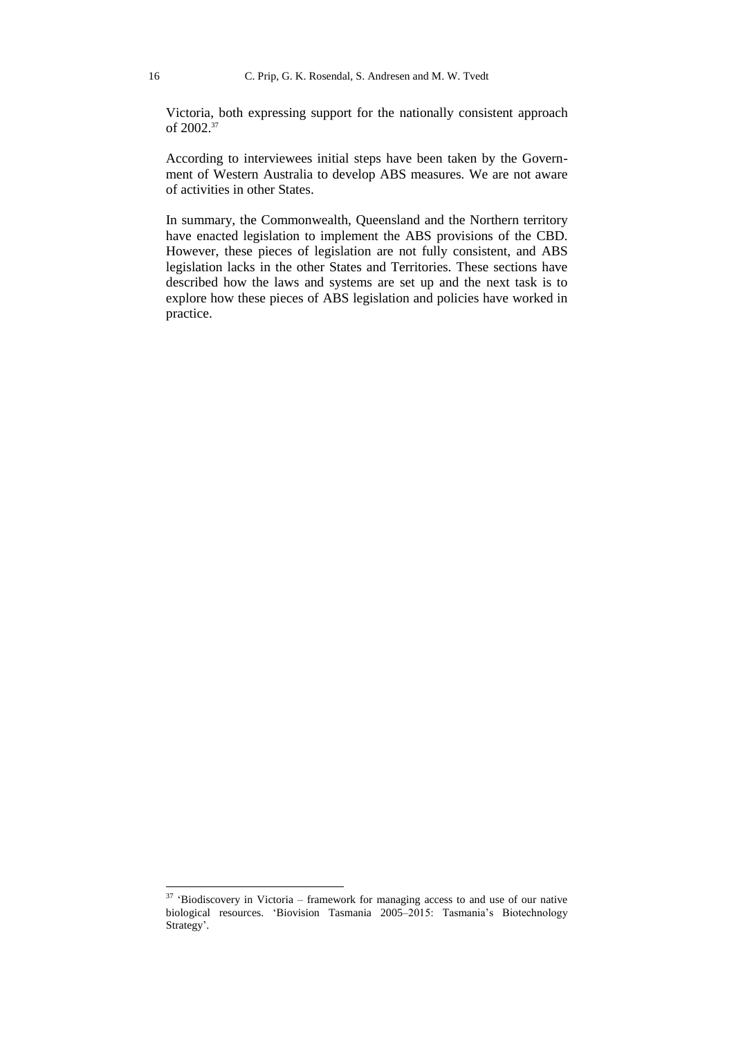Victoria, both expressing support for the nationally consistent approach of 2002.<sup>37</sup>

According to interviewees initial steps have been taken by the Government of Western Australia to develop ABS measures. We are not aware of activities in other States.

In summary, the Commonwealth, Queensland and the Northern territory have enacted legislation to implement the ABS provisions of the CBD. However, these pieces of legislation are not fully consistent, and ABS legislation lacks in the other States and Territories. These sections have described how the laws and systems are set up and the next task is to explore how these pieces of ABS legislation and policies have worked in practice.

 $37$  'Biodiscovery in Victoria – framework for managing access to and use of our native biological resources. 'Biovision Tasmania 2005–2015: Tasmania's Biotechnology Strategy'.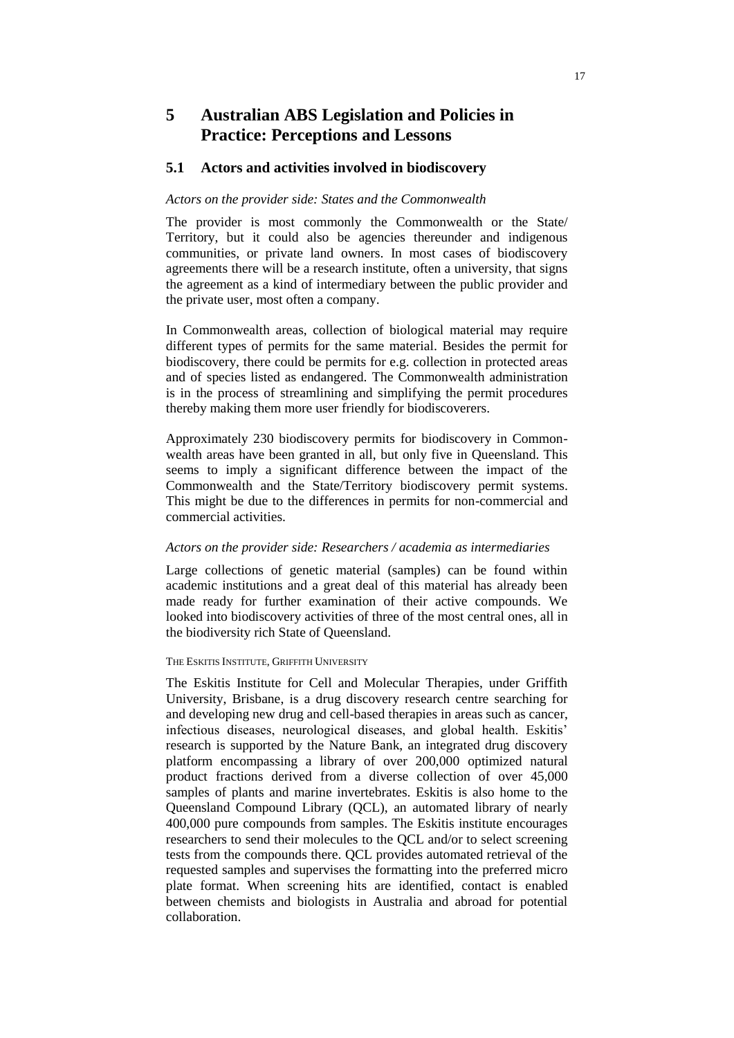# **5 Australian ABS Legislation and Policies in Practice: Perceptions and Lessons**

## **5.1 Actors and activities involved in biodiscovery**

#### *Actors on the provider side: States and the Commonwealth*

The provider is most commonly the Commonwealth or the State/ Territory, but it could also be agencies thereunder and indigenous communities, or private land owners. In most cases of biodiscovery agreements there will be a research institute, often a university, that signs the agreement as a kind of intermediary between the public provider and the private user, most often a company.

In Commonwealth areas, collection of biological material may require different types of permits for the same material. Besides the permit for biodiscovery, there could be permits for e.g. collection in protected areas and of species listed as endangered. The Commonwealth administration is in the process of streamlining and simplifying the permit procedures thereby making them more user friendly for biodiscoverers.

Approximately 230 biodiscovery permits for biodiscovery in Commonwealth areas have been granted in all, but only five in Queensland. This seems to imply a significant difference between the impact of the Commonwealth and the State/Territory biodiscovery permit systems. This might be due to the differences in permits for non-commercial and commercial activities.

### *Actors on the provider side: Researchers / academia as intermediaries*

Large collections of genetic material (samples) can be found within academic institutions and a great deal of this material has already been made ready for further examination of their active compounds. We looked into biodiscovery activities of three of the most central ones, all in the biodiversity rich State of Queensland.

#### THE ESKITIS INSTITUTE, GRIFFITH UNIVERSITY

The Eskitis Institute for Cell and Molecular Therapies, under Griffith University, Brisbane, is a drug discovery research centre searching for and developing new drug and cell-based therapies in areas such as cancer, infectious diseases, neurological diseases, and global health. Eskitis' research is supported by the Nature Bank, an integrated drug discovery platform encompassing a library of over 200,000 optimized natural product fractions derived from a diverse collection of over 45,000 samples of plants and marine invertebrates. Eskitis is also home to the Queensland Compound Library (QCL), an automated library of nearly 400,000 pure compounds from samples. The Eskitis institute encourages researchers to send their molecules to the QCL and/or to select screening tests from the compounds there. QCL provides automated retrieval of the requested samples and supervises the formatting into the preferred micro plate format. When screening hits are identified, contact is enabled between chemists and biologists in Australia and abroad for potential collaboration.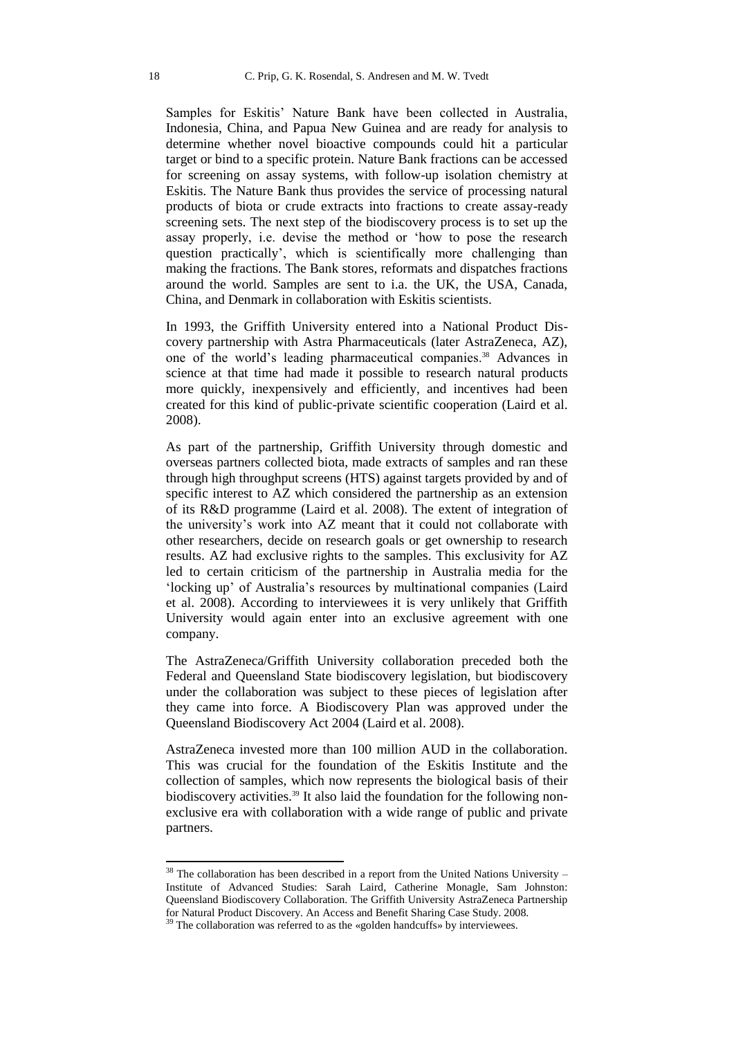Samples for Eskitis' Nature Bank have been collected in Australia, Indonesia, China, and Papua New Guinea and are ready for analysis to determine whether novel bioactive compounds could hit a particular target or bind to a specific protein. Nature Bank fractions can be accessed for screening on assay systems, with follow-up isolation chemistry at Eskitis. The Nature Bank thus provides the service of processing natural products of biota or crude extracts into fractions to create assay-ready screening sets. The next step of the biodiscovery process is to set up the assay properly, i.e. devise the method or 'how to pose the research question practically', which is scientifically more challenging than making the fractions. The Bank stores, reformats and dispatches fractions around the world. Samples are sent to i.a. the UK, the USA, Canada, China, and Denmark in collaboration with Eskitis scientists.

In 1993, the Griffith University entered into a National Product Discovery partnership with Astra Pharmaceuticals (later AstraZeneca, AZ), one of the world's leading pharmaceutical companies.<sup>38</sup> Advances in science at that time had made it possible to research natural products more quickly, inexpensively and efficiently, and incentives had been created for this kind of public-private scientific cooperation (Laird et al. 2008).

As part of the partnership, Griffith University through domestic and overseas partners collected biota, made extracts of samples and ran these through high throughput screens (HTS) against targets provided by and of specific interest to AZ which considered the partnership as an extension of its R&D programme (Laird et al. 2008). The extent of integration of the university's work into AZ meant that it could not collaborate with other researchers, decide on research goals or get ownership to research results. AZ had exclusive rights to the samples. This exclusivity for AZ led to certain criticism of the partnership in Australia media for the 'locking up' of Australia's resources by multinational companies (Laird et al. 2008). According to interviewees it is very unlikely that Griffith University would again enter into an exclusive agreement with one company.

The AstraZeneca/Griffith University collaboration preceded both the Federal and Queensland State biodiscovery legislation, but biodiscovery under the collaboration was subject to these pieces of legislation after they came into force. A Biodiscovery Plan was approved under the Queensland Biodiscovery Act 2004 (Laird et al. 2008).

AstraZeneca invested more than 100 million AUD in the collaboration. This was crucial for the foundation of the Eskitis Institute and the collection of samples, which now represents the biological basis of their biodiscovery activities.<sup>39</sup> It also laid the foundation for the following nonexclusive era with collaboration with a wide range of public and private partners.

 $38$  The collaboration has been described in a report from the United Nations University – Institute of Advanced Studies: Sarah Laird, Catherine Monagle, Sam Johnston: Queensland Biodiscovery Collaboration. The Griffith University AstraZeneca Partnership for Natural Product Discovery. An Access and Benefit Sharing Case Study. 2008.

<sup>&</sup>lt;sup>39</sup> The collaboration was referred to as the «golden handcuffs» by interviewees.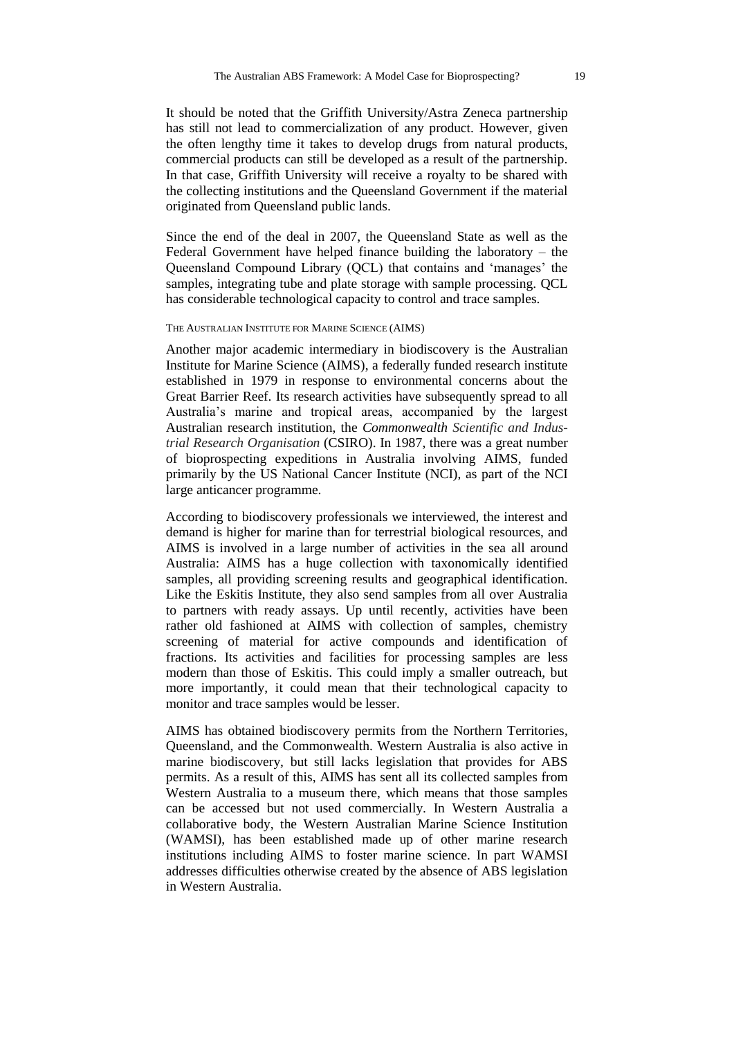It should be noted that the Griffith University/Astra Zeneca partnership has still not lead to commercialization of any product. However, given the often lengthy time it takes to develop drugs from natural products, commercial products can still be developed as a result of the partnership. In that case, Griffith University will receive a royalty to be shared with the collecting institutions and the Queensland Government if the material originated from Queensland public lands.

Since the end of the deal in 2007, the Queensland State as well as the Federal Government have helped finance building the laboratory – the Queensland Compound Library (QCL) that contains and 'manages' the samples, integrating tube and plate storage with sample processing. QCL has considerable technological capacity to control and trace samples.

#### THE AUSTRALIAN INSTITUTE FOR MARINE SCIENCE (AIMS)

Another major academic intermediary in biodiscovery is the Australian Institute for Marine Science (AIMS), a federally funded research institute established in 1979 in response to environmental concerns about the Great Barrier Reef. Its research activities have subsequently spread to all Australia's marine and tropical areas, accompanied by the largest Australian research institution, the *Commonwealth Scientific and Industrial Research Organisation* (CSIRO). In 1987, there was a great number of bioprospecting expeditions in Australia involving AIMS, funded primarily by the US National Cancer Institute (NCI), as part of the NCI large anticancer programme.

According to biodiscovery professionals we interviewed, the interest and demand is higher for marine than for terrestrial biological resources, and AIMS is involved in a large number of activities in the sea all around Australia: AIMS has a huge collection with taxonomically identified samples, all providing screening results and geographical identification. Like the Eskitis Institute, they also send samples from all over Australia to partners with ready assays. Up until recently, activities have been rather old fashioned at AIMS with collection of samples, chemistry screening of material for active compounds and identification of fractions. Its activities and facilities for processing samples are less modern than those of Eskitis. This could imply a smaller outreach, but more importantly, it could mean that their technological capacity to monitor and trace samples would be lesser.

AIMS has obtained biodiscovery permits from the Northern Territories, Queensland, and the Commonwealth. Western Australia is also active in marine biodiscovery, but still lacks legislation that provides for ABS permits. As a result of this, AIMS has sent all its collected samples from Western Australia to a museum there, which means that those samples can be accessed but not used commercially. In Western Australia a collaborative body, the Western Australian Marine Science Institution (WAMSI), has been established made up of other marine research institutions including AIMS to foster marine science. In part WAMSI addresses difficulties otherwise created by the absence of ABS legislation in Western Australia.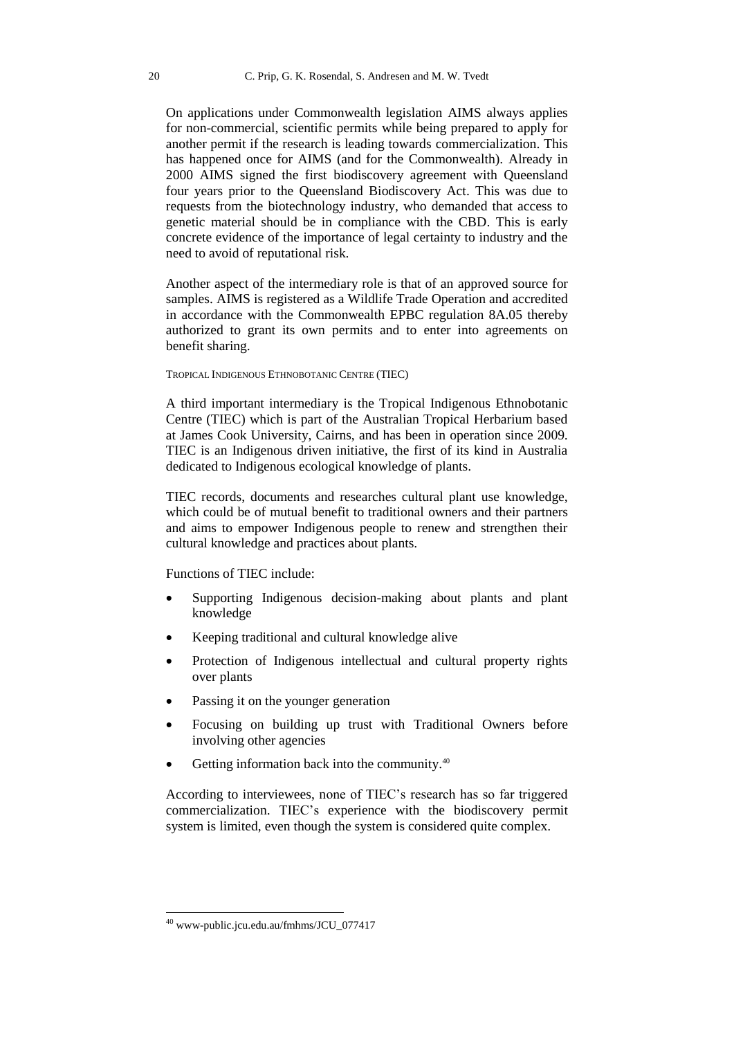On applications under Commonwealth legislation AIMS always applies for non-commercial, scientific permits while being prepared to apply for another permit if the research is leading towards commercialization. This has happened once for AIMS (and for the Commonwealth). Already in 2000 AIMS signed the first biodiscovery agreement with Queensland four years prior to the Queensland Biodiscovery Act. This was due to requests from the biotechnology industry, who demanded that access to genetic material should be in compliance with the CBD. This is early concrete evidence of the importance of legal certainty to industry and the need to avoid of reputational risk.

Another aspect of the intermediary role is that of an approved source for samples. AIMS is registered as a Wildlife Trade Operation and accredited in accordance with the Commonwealth EPBC regulation 8A.05 thereby authorized to grant its own permits and to enter into agreements on benefit sharing.

#### TROPICAL INDIGENOUS ETHNOBOTANIC CENTRE (TIEC)

A third important intermediary is the Tropical Indigenous Ethnobotanic Centre (TIEC) which is part of the Australian Tropical Herbarium based at James Cook University, Cairns, and has been in operation since 2009. TIEC is an Indigenous driven initiative, the first of its kind in Australia dedicated to Indigenous ecological knowledge of plants.

TIEC records, documents and researches cultural plant use knowledge, which could be of mutual benefit to traditional owners and their partners and aims to empower Indigenous people to renew and strengthen their cultural knowledge and practices about plants.

Functions of TIEC include:

- Supporting Indigenous decision-making about plants and plant knowledge
- Keeping traditional and cultural knowledge alive
- Protection of Indigenous intellectual and cultural property rights over plants
- Passing it on the younger generation
- Focusing on building up trust with Traditional Owners before involving other agencies
- Getting information back into the community.<sup>40</sup>

According to interviewees, none of TIEC's research has so far triggered commercialization. TIEC's experience with the biodiscovery permit system is limited, even though the system is considered quite complex.

-

<sup>40</sup> www-public.jcu.edu.au/fmhms/JCU\_077417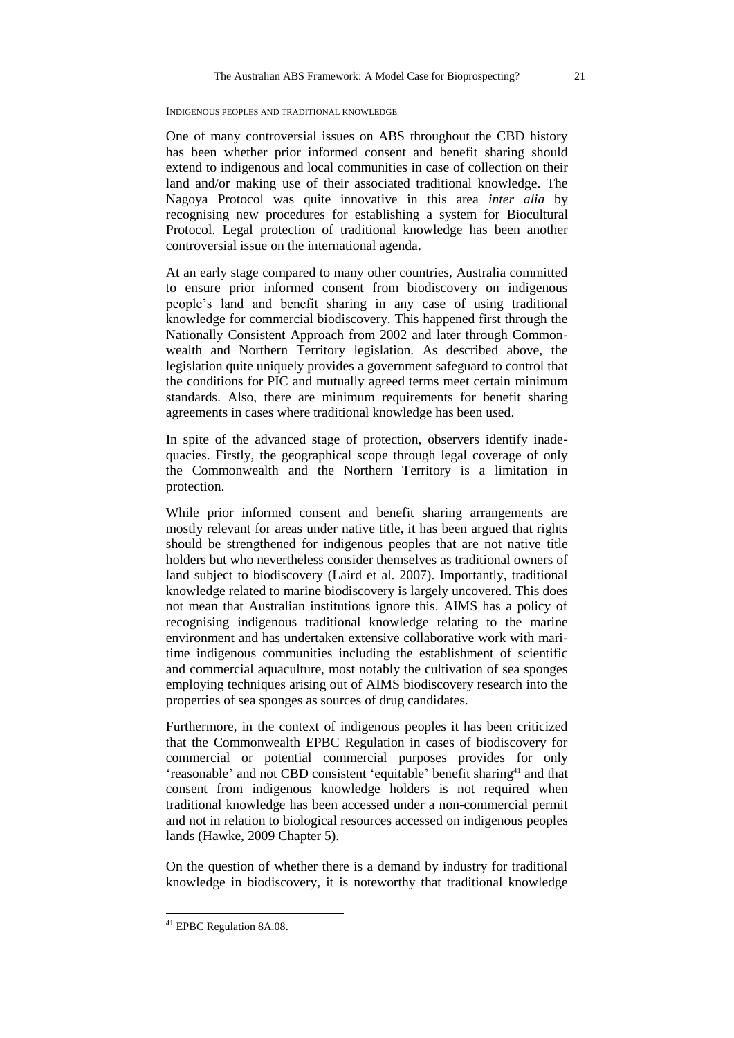#### INDIGENOUS PEOPLES AND TRADITIONAL KNOWLEDGE

One of many controversial issues on ABS throughout the CBD history has been whether prior informed consent and benefit sharing should extend to indigenous and local communities in case of collection on their land and/or making use of their associated traditional knowledge. The Nagoya Protocol was quite innovative in this area *inter alia* by recognising new procedures for establishing a system for Biocultural Protocol. Legal protection of traditional knowledge has been another controversial issue on the international agenda.

At an early stage compared to many other countries, Australia committed to ensure prior informed consent from biodiscovery on indigenous people's land and benefit sharing in any case of using traditional knowledge for commercial biodiscovery. This happened first through the Nationally Consistent Approach from 2002 and later through Commonwealth and Northern Territory legislation. As described above, the legislation quite uniquely provides a government safeguard to control that the conditions for PIC and mutually agreed terms meet certain minimum standards. Also, there are minimum requirements for benefit sharing agreements in cases where traditional knowledge has been used.

In spite of the advanced stage of protection, observers identify inadequacies. Firstly, the geographical scope through legal coverage of only the Commonwealth and the Northern Territory is a limitation in protection.

While prior informed consent and benefit sharing arrangements are mostly relevant for areas under native title, it has been argued that rights should be strengthened for indigenous peoples that are not native title holders but who nevertheless consider themselves as traditional owners of land subject to biodiscovery (Laird et al. 2007). Importantly, traditional knowledge related to marine biodiscovery is largely uncovered. This does not mean that Australian institutions ignore this. AIMS has a policy of recognising indigenous traditional knowledge relating to the marine environment and has undertaken extensive collaborative work with maritime indigenous communities including the establishment of scientific and commercial aquaculture, most notably the cultivation of sea sponges employing techniques arising out of AIMS biodiscovery research into the properties of sea sponges as sources of drug candidates.

Furthermore, in the context of indigenous peoples it has been criticized that the Commonwealth EPBC Regulation in cases of biodiscovery for commercial or potential commercial purposes provides for only 'reasonable' and not CBD consistent 'equitable' benefit sharing<sup>41</sup> and that consent from indigenous knowledge holders is not required when traditional knowledge has been accessed under a non-commercial permit and not in relation to biological resources accessed on indigenous peoples lands (Hawke, 2009 Chapter 5).

On the question of whether there is a demand by industry for traditional knowledge in biodiscovery, it is noteworthy that traditional knowledge

-

 $41$  EPBC Regulation 8A.08.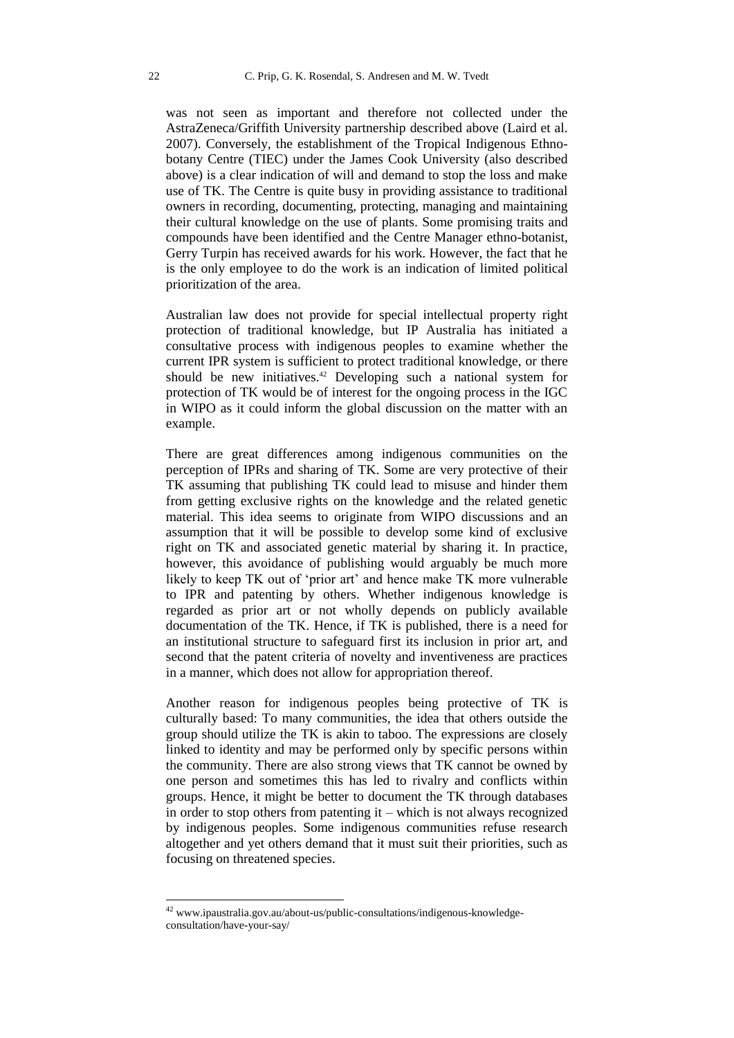was not seen as important and therefore not collected under the AstraZeneca/Griffith University partnership described above (Laird et al. 2007). Conversely, the establishment of the Tropical Indigenous Ethnobotany Centre (TIEC) under the James Cook University (also described above) is a clear indication of will and demand to stop the loss and make use of TK. The Centre is quite busy in providing assistance to traditional owners in recording, documenting, protecting, managing and maintaining their cultural knowledge on the use of plants. Some promising traits and compounds have been identified and the Centre Manager ethno-botanist, Gerry Turpin has received awards for his work. However, the fact that he is the only employee to do the work is an indication of limited political prioritization of the area.

Australian law does not provide for special intellectual property right protection of traditional knowledge, but IP Australia has initiated a consultative process with indigenous peoples to examine whether the current IPR system is sufficient to protect traditional knowledge, or there should be new initiatives. <sup>42</sup> Developing such a national system for protection of TK would be of interest for the ongoing process in the IGC in WIPO as it could inform the global discussion on the matter with an example.

There are great differences among indigenous communities on the perception of IPRs and sharing of TK. Some are very protective of their TK assuming that publishing TK could lead to misuse and hinder them from getting exclusive rights on the knowledge and the related genetic material. This idea seems to originate from WIPO discussions and an assumption that it will be possible to develop some kind of exclusive right on TK and associated genetic material by sharing it. In practice, however, this avoidance of publishing would arguably be much more likely to keep TK out of 'prior art' and hence make TK more vulnerable to IPR and patenting by others. Whether indigenous knowledge is regarded as prior art or not wholly depends on publicly available documentation of the TK. Hence, if TK is published, there is a need for an institutional structure to safeguard first its inclusion in prior art, and second that the patent criteria of novelty and inventiveness are practices in a manner, which does not allow for appropriation thereof.

Another reason for indigenous peoples being protective of TK is culturally based: To many communities, the idea that others outside the group should utilize the TK is akin to taboo. The expressions are closely linked to identity and may be performed only by specific persons within the community. There are also strong views that TK cannot be owned by one person and sometimes this has led to rivalry and conflicts within groups. Hence, it might be better to document the TK through databases in order to stop others from patenting it – which is not always recognized by indigenous peoples. Some indigenous communities refuse research altogether and yet others demand that it must suit their priorities, such as focusing on threatened species.

 $42$  www.ipaustralia.gov.au/about-us/public-consultations/indigenous-knowledgeconsultation/have-your-say/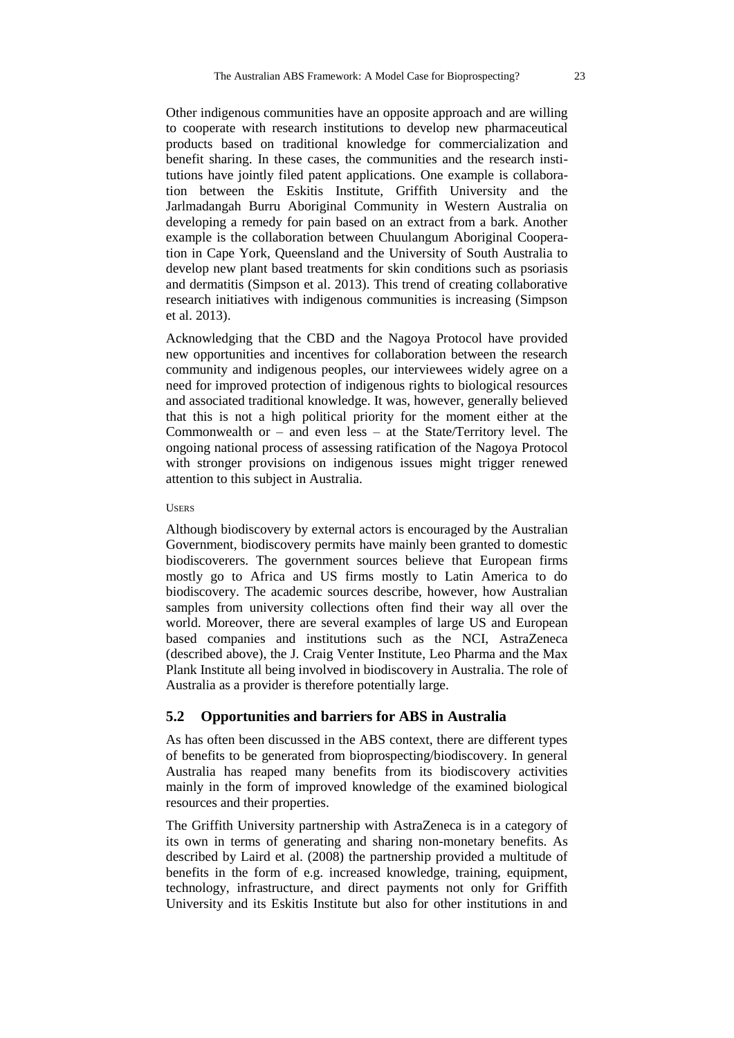Other indigenous communities have an opposite approach and are willing to cooperate with research institutions to develop new pharmaceutical products based on traditional knowledge for commercialization and benefit sharing. In these cases, the communities and the research institutions have jointly filed patent applications. One example is collaboration between the Eskitis Institute, Griffith University and the Jarlmadangah Burru Aboriginal Community in Western Australia on developing a remedy for pain based on an extract from a bark. Another example is the collaboration between Chuulangum Aboriginal Cooperation in Cape York, Queensland and the University of South Australia to develop new plant based treatments for skin conditions such as psoriasis and dermatitis (Simpson et al. 2013). This trend of creating collaborative research initiatives with indigenous communities is increasing (Simpson et al. 2013).

Acknowledging that the CBD and the Nagoya Protocol have provided new opportunities and incentives for collaboration between the research community and indigenous peoples, our interviewees widely agree on a need for improved protection of indigenous rights to biological resources and associated traditional knowledge. It was, however, generally believed that this is not a high political priority for the moment either at the Commonwealth or – and even less – at the State/Territory level. The ongoing national process of assessing ratification of the Nagoya Protocol with stronger provisions on indigenous issues might trigger renewed attention to this subject in Australia.

#### USERS

Although biodiscovery by external actors is encouraged by the Australian Government, biodiscovery permits have mainly been granted to domestic biodiscoverers. The government sources believe that European firms mostly go to Africa and US firms mostly to Latin America to do biodiscovery. The academic sources describe, however, how Australian samples from university collections often find their way all over the world. Moreover, there are several examples of large US and European based companies and institutions such as the NCI, AstraZeneca (described above), the J. Craig Venter Institute, Leo Pharma and the Max Plank Institute all being involved in biodiscovery in Australia. The role of Australia as a provider is therefore potentially large.

## **5.2 Opportunities and barriers for ABS in Australia**

As has often been discussed in the ABS context, there are different types of benefits to be generated from bioprospecting/biodiscovery. In general Australia has reaped many benefits from its biodiscovery activities mainly in the form of improved knowledge of the examined biological resources and their properties.

The Griffith University partnership with AstraZeneca is in a category of its own in terms of generating and sharing non-monetary benefits. As described by Laird et al. (2008) the partnership provided a multitude of benefits in the form of e.g. increased knowledge, training, equipment, technology, infrastructure, and direct payments not only for Griffith University and its Eskitis Institute but also for other institutions in and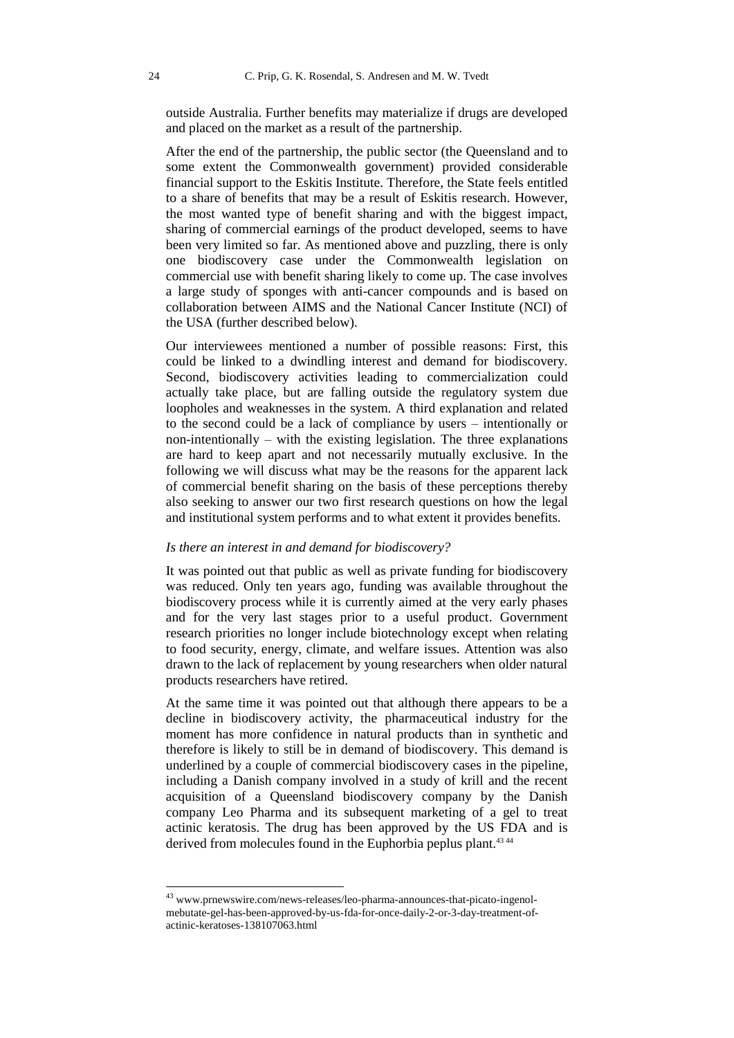outside Australia. Further benefits may materialize if drugs are developed and placed on the market as a result of the partnership.

After the end of the partnership, the public sector (the Queensland and to some extent the Commonwealth government) provided considerable financial support to the Eskitis Institute. Therefore, the State feels entitled to a share of benefits that may be a result of Eskitis research. However, the most wanted type of benefit sharing and with the biggest impact, sharing of commercial earnings of the product developed, seems to have been very limited so far. As mentioned above and puzzling, there is only one biodiscovery case under the Commonwealth legislation on commercial use with benefit sharing likely to come up. The case involves a large study of sponges with anti-cancer compounds and is based on collaboration between AIMS and the National Cancer Institute (NCI) of the USA (further described below).

Our interviewees mentioned a number of possible reasons: First, this could be linked to a dwindling interest and demand for biodiscovery. Second, biodiscovery activities leading to commercialization could actually take place, but are falling outside the regulatory system due loopholes and weaknesses in the system. A third explanation and related to the second could be a lack of compliance by users – intentionally or non-intentionally – with the existing legislation. The three explanations are hard to keep apart and not necessarily mutually exclusive. In the following we will discuss what may be the reasons for the apparent lack of commercial benefit sharing on the basis of these perceptions thereby also seeking to answer our two first research questions on how the legal and institutional system performs and to what extent it provides benefits.

### *Is there an interest in and demand for biodiscovery?*

It was pointed out that public as well as private funding for biodiscovery was reduced. Only ten years ago, funding was available throughout the biodiscovery process while it is currently aimed at the very early phases and for the very last stages prior to a useful product. Government research priorities no longer include biotechnology except when relating to food security, energy, climate, and welfare issues. Attention was also drawn to the lack of replacement by young researchers when older natural products researchers have retired.

At the same time it was pointed out that although there appears to be a decline in biodiscovery activity, the pharmaceutical industry for the moment has more confidence in natural products than in synthetic and therefore is likely to still be in demand of biodiscovery. This demand is underlined by a couple of commercial biodiscovery cases in the pipeline, including a Danish company involved in a study of krill and the recent acquisition of a Queensland biodiscovery company by the Danish company Leo Pharma and its subsequent marketing of a gel to treat actinic keratosis. The drug has been approved by the US FDA and is derived from molecules found in the Euphorbia peplus plant.<sup>43 44</sup>

<sup>&</sup>lt;sup>43</sup> www.prnewswire.com/news-releases/leo-pharma-announces-that-picato-ingenolmebutate-gel-has-been-approved-by-us-fda-for-once-daily-2-or-3-day-treatment-ofactinic-keratoses-138107063.html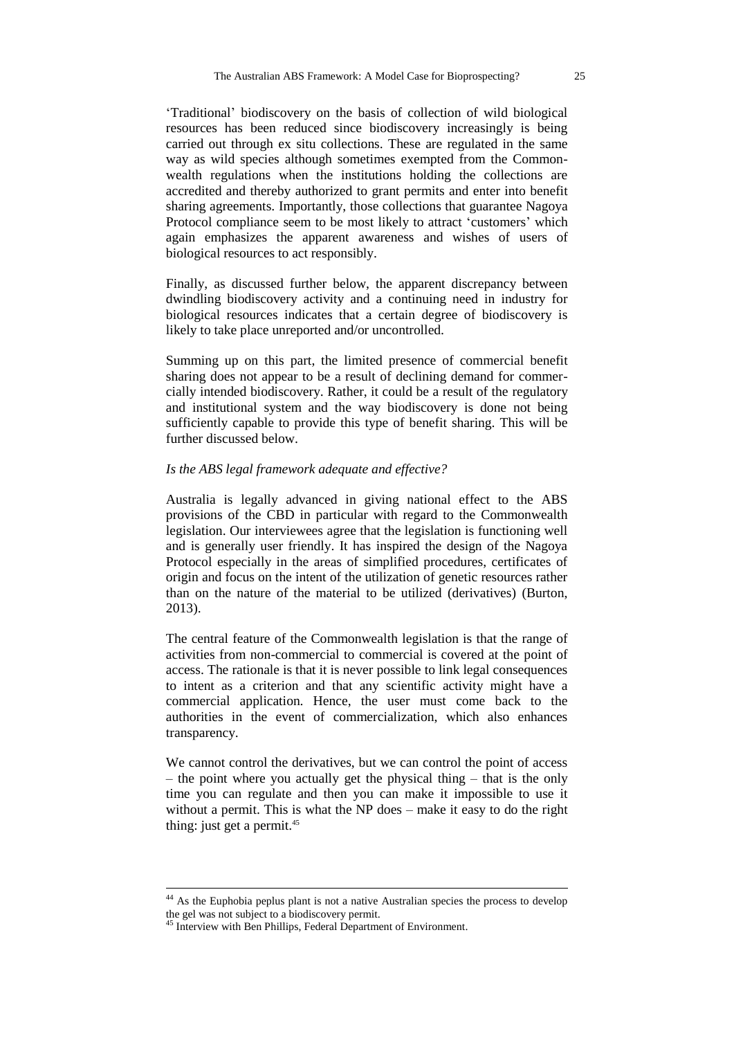'Traditional' biodiscovery on the basis of collection of wild biological resources has been reduced since biodiscovery increasingly is being carried out through ex situ collections. These are regulated in the same way as wild species although sometimes exempted from the Commonwealth regulations when the institutions holding the collections are accredited and thereby authorized to grant permits and enter into benefit sharing agreements. Importantly, those collections that guarantee Nagoya Protocol compliance seem to be most likely to attract 'customers' which again emphasizes the apparent awareness and wishes of users of biological resources to act responsibly.

Finally, as discussed further below, the apparent discrepancy between dwindling biodiscovery activity and a continuing need in industry for biological resources indicates that a certain degree of biodiscovery is likely to take place unreported and/or uncontrolled.

Summing up on this part, the limited presence of commercial benefit sharing does not appear to be a result of declining demand for commercially intended biodiscovery. Rather, it could be a result of the regulatory and institutional system and the way biodiscovery is done not being sufficiently capable to provide this type of benefit sharing. This will be further discussed below.

#### *Is the ABS legal framework adequate and effective?*

Australia is legally advanced in giving national effect to the ABS provisions of the CBD in particular with regard to the Commonwealth legislation. Our interviewees agree that the legislation is functioning well and is generally user friendly. It has inspired the design of the Nagoya Protocol especially in the areas of simplified procedures, certificates of origin and focus on the intent of the utilization of genetic resources rather than on the nature of the material to be utilized (derivatives) (Burton, 2013).

The central feature of the Commonwealth legislation is that the range of activities from non-commercial to commercial is covered at the point of access. The rationale is that it is never possible to link legal consequences to intent as a criterion and that any scientific activity might have a commercial application. Hence, the user must come back to the authorities in the event of commercialization, which also enhances transparency.

We cannot control the derivatives, but we can control the point of access – the point where you actually get the physical thing – that is the only time you can regulate and then you can make it impossible to use it without a permit. This is what the NP does – make it easy to do the right thing: just get a permit.<sup>45</sup>

-

<sup>&</sup>lt;sup>44</sup> As the Euphobia peplus plant is not a native Australian species the process to develop the gel was not subject to a biodiscovery permit.

<sup>&</sup>lt;sup>45</sup> Interview with Ben Phillips, Federal Department of Environment.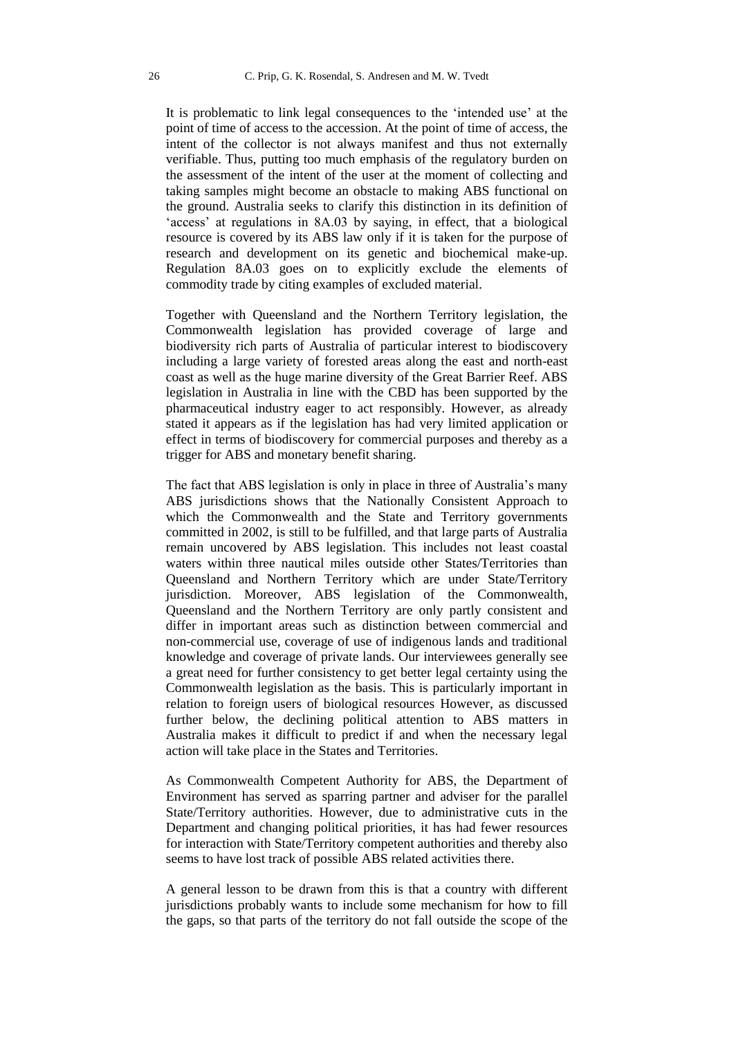It is problematic to link legal consequences to the 'intended use' at the point of time of access to the accession. At the point of time of access, the intent of the collector is not always manifest and thus not externally verifiable. Thus, putting too much emphasis of the regulatory burden on the assessment of the intent of the user at the moment of collecting and taking samples might become an obstacle to making ABS functional on the ground. Australia seeks to clarify this distinction in its definition of 'access' at regulations in 8A.03 by saying, in effect, that a biological resource is covered by its ABS law only if it is taken for the purpose of research and development on its genetic and biochemical make-up. Regulation 8A.03 goes on to explicitly exclude the elements of commodity trade by citing examples of excluded material.

Together with Queensland and the Northern Territory legislation, the Commonwealth legislation has provided coverage of large and biodiversity rich parts of Australia of particular interest to biodiscovery including a large variety of forested areas along the east and north-east coast as well as the huge marine diversity of the Great Barrier Reef. ABS legislation in Australia in line with the CBD has been supported by the pharmaceutical industry eager to act responsibly. However, as already stated it appears as if the legislation has had very limited application or effect in terms of biodiscovery for commercial purposes and thereby as a trigger for ABS and monetary benefit sharing.

The fact that ABS legislation is only in place in three of Australia's many ABS jurisdictions shows that the Nationally Consistent Approach to which the Commonwealth and the State and Territory governments committed in 2002, is still to be fulfilled, and that large parts of Australia remain uncovered by ABS legislation. This includes not least coastal waters within three nautical miles outside other States/Territories than Queensland and Northern Territory which are under State/Territory jurisdiction. Moreover, ABS legislation of the Commonwealth, Queensland and the Northern Territory are only partly consistent and differ in important areas such as distinction between commercial and non-commercial use, coverage of use of indigenous lands and traditional knowledge and coverage of private lands. Our interviewees generally see a great need for further consistency to get better legal certainty using the Commonwealth legislation as the basis. This is particularly important in relation to foreign users of biological resources However, as discussed further below, the declining political attention to ABS matters in Australia makes it difficult to predict if and when the necessary legal action will take place in the States and Territories.

As Commonwealth Competent Authority for ABS, the Department of Environment has served as sparring partner and adviser for the parallel State/Territory authorities. However, due to administrative cuts in the Department and changing political priorities, it has had fewer resources for interaction with State/Territory competent authorities and thereby also seems to have lost track of possible ABS related activities there.

A general lesson to be drawn from this is that a country with different jurisdictions probably wants to include some mechanism for how to fill the gaps, so that parts of the territory do not fall outside the scope of the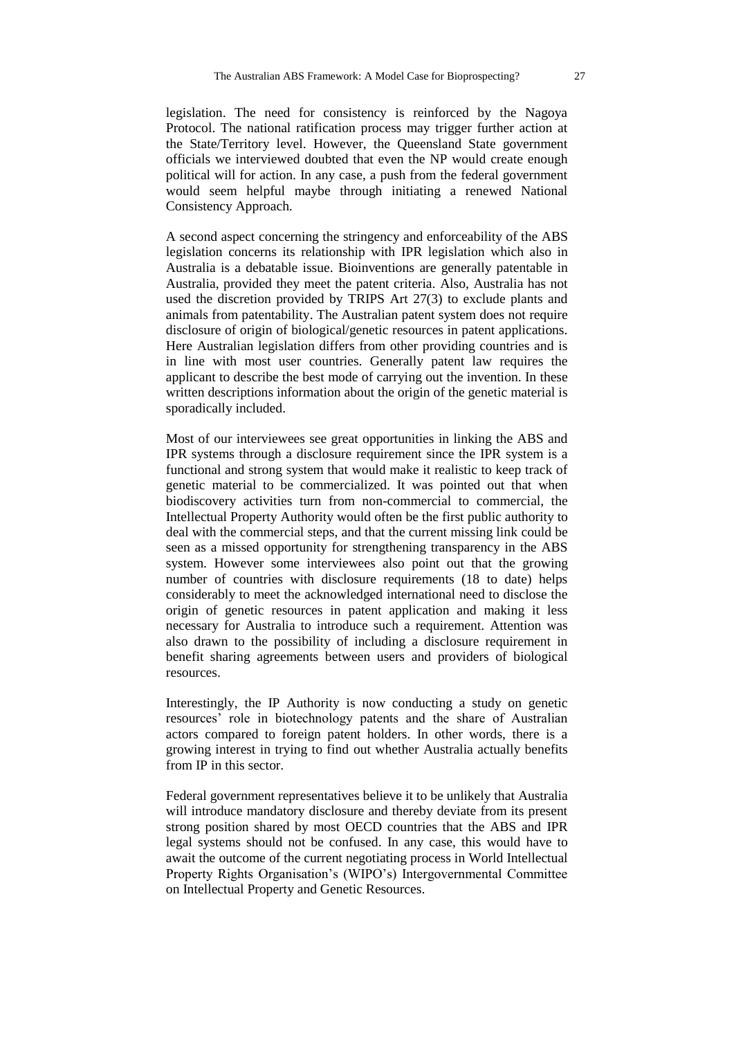legislation. The need for consistency is reinforced by the Nagoya Protocol. The national ratification process may trigger further action at the State/Territory level. However, the Queensland State government officials we interviewed doubted that even the NP would create enough political will for action. In any case, a push from the federal government would seem helpful maybe through initiating a renewed National Consistency Approach.

A second aspect concerning the stringency and enforceability of the ABS legislation concerns its relationship with IPR legislation which also in Australia is a debatable issue. Bioinventions are generally patentable in Australia, provided they meet the patent criteria. Also, Australia has not used the discretion provided by TRIPS Art 27(3) to exclude plants and animals from patentability. The Australian patent system does not require disclosure of origin of biological/genetic resources in patent applications. Here Australian legislation differs from other providing countries and is in line with most user countries. Generally patent law requires the applicant to describe the best mode of carrying out the invention. In these written descriptions information about the origin of the genetic material is sporadically included.

Most of our interviewees see great opportunities in linking the ABS and IPR systems through a disclosure requirement since the IPR system is a functional and strong system that would make it realistic to keep track of genetic material to be commercialized. It was pointed out that when biodiscovery activities turn from non-commercial to commercial, the Intellectual Property Authority would often be the first public authority to deal with the commercial steps, and that the current missing link could be seen as a missed opportunity for strengthening transparency in the ABS system. However some interviewees also point out that the growing number of countries with disclosure requirements (18 to date) helps considerably to meet the acknowledged international need to disclose the origin of genetic resources in patent application and making it less necessary for Australia to introduce such a requirement. Attention was also drawn to the possibility of including a disclosure requirement in benefit sharing agreements between users and providers of biological resources.

Interestingly, the IP Authority is now conducting a study on genetic resources' role in biotechnology patents and the share of Australian actors compared to foreign patent holders. In other words, there is a growing interest in trying to find out whether Australia actually benefits from IP in this sector.

Federal government representatives believe it to be unlikely that Australia will introduce mandatory disclosure and thereby deviate from its present strong position shared by most OECD countries that the ABS and IPR legal systems should not be confused. In any case, this would have to await the outcome of the current negotiating process in World Intellectual Property Rights Organisation's (WIPO's) Intergovernmental Committee on Intellectual Property and Genetic Resources.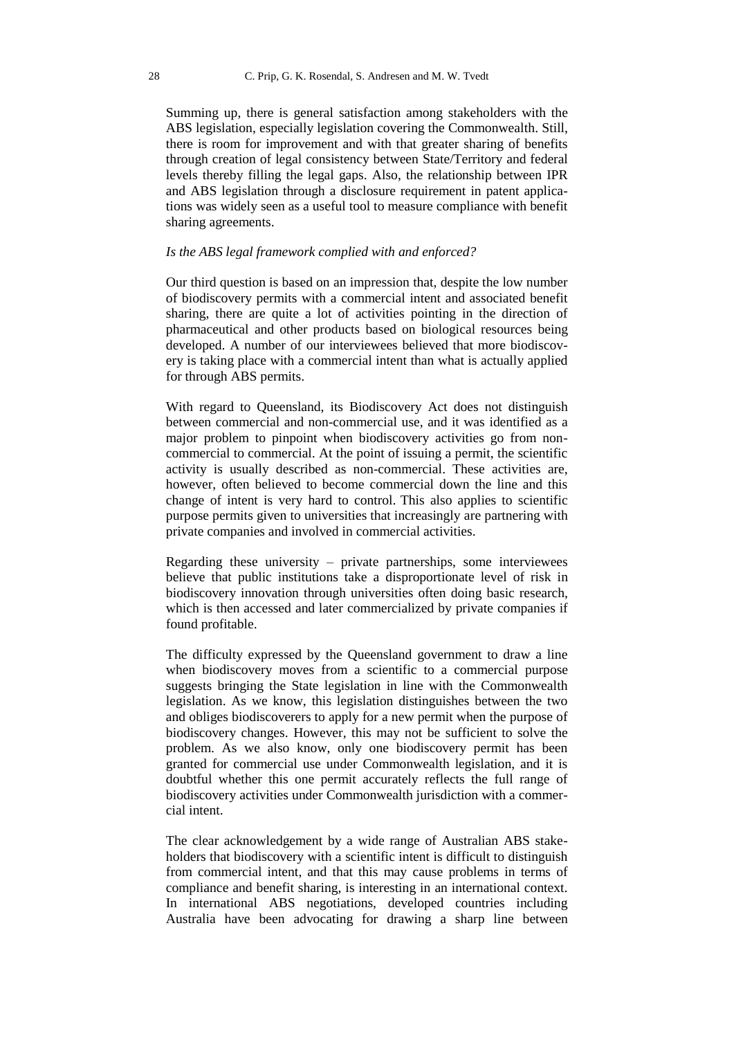Summing up, there is general satisfaction among stakeholders with the ABS legislation, especially legislation covering the Commonwealth. Still, there is room for improvement and with that greater sharing of benefits through creation of legal consistency between State/Territory and federal levels thereby filling the legal gaps. Also, the relationship between IPR and ABS legislation through a disclosure requirement in patent applications was widely seen as a useful tool to measure compliance with benefit sharing agreements.

## *Is the ABS legal framework complied with and enforced?*

Our third question is based on an impression that, despite the low number of biodiscovery permits with a commercial intent and associated benefit sharing, there are quite a lot of activities pointing in the direction of pharmaceutical and other products based on biological resources being developed. A number of our interviewees believed that more biodiscovery is taking place with a commercial intent than what is actually applied for through ABS permits.

With regard to Queensland, its Biodiscovery Act does not distinguish between commercial and non-commercial use, and it was identified as a major problem to pinpoint when biodiscovery activities go from noncommercial to commercial. At the point of issuing a permit, the scientific activity is usually described as non-commercial. These activities are, however, often believed to become commercial down the line and this change of intent is very hard to control. This also applies to scientific purpose permits given to universities that increasingly are partnering with private companies and involved in commercial activities.

Regarding these university – private partnerships, some interviewees believe that public institutions take a disproportionate level of risk in biodiscovery innovation through universities often doing basic research, which is then accessed and later commercialized by private companies if found profitable.

The difficulty expressed by the Queensland government to draw a line when biodiscovery moves from a scientific to a commercial purpose suggests bringing the State legislation in line with the Commonwealth legislation. As we know, this legislation distinguishes between the two and obliges biodiscoverers to apply for a new permit when the purpose of biodiscovery changes. However, this may not be sufficient to solve the problem. As we also know, only one biodiscovery permit has been granted for commercial use under Commonwealth legislation, and it is doubtful whether this one permit accurately reflects the full range of biodiscovery activities under Commonwealth jurisdiction with a commercial intent.

The clear acknowledgement by a wide range of Australian ABS stakeholders that biodiscovery with a scientific intent is difficult to distinguish from commercial intent, and that this may cause problems in terms of compliance and benefit sharing, is interesting in an international context. In international ABS negotiations, developed countries including Australia have been advocating for drawing a sharp line between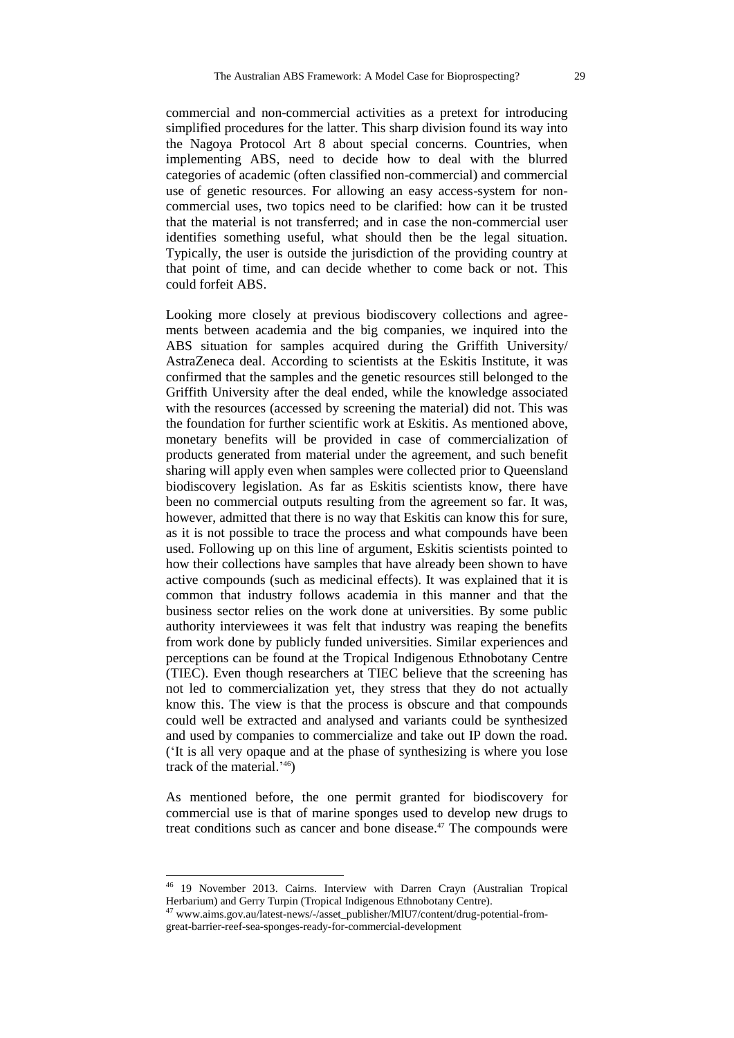commercial and non-commercial activities as a pretext for introducing simplified procedures for the latter. This sharp division found its way into the Nagoya Protocol Art 8 about special concerns. Countries, when implementing ABS, need to decide how to deal with the blurred categories of academic (often classified non-commercial) and commercial use of genetic resources. For allowing an easy access-system for noncommercial uses, two topics need to be clarified: how can it be trusted that the material is not transferred; and in case the non-commercial user identifies something useful, what should then be the legal situation. Typically, the user is outside the jurisdiction of the providing country at that point of time, and can decide whether to come back or not. This could forfeit ABS.

Looking more closely at previous biodiscovery collections and agreements between academia and the big companies, we inquired into the ABS situation for samples acquired during the Griffith University/ AstraZeneca deal. According to scientists at the Eskitis Institute, it was confirmed that the samples and the genetic resources still belonged to the Griffith University after the deal ended, while the knowledge associated with the resources (accessed by screening the material) did not. This was the foundation for further scientific work at Eskitis. As mentioned above, monetary benefits will be provided in case of commercialization of products generated from material under the agreement, and such benefit sharing will apply even when samples were collected prior to Queensland biodiscovery legislation. As far as Eskitis scientists know, there have been no commercial outputs resulting from the agreement so far. It was, however, admitted that there is no way that Eskitis can know this for sure, as it is not possible to trace the process and what compounds have been used. Following up on this line of argument, Eskitis scientists pointed to how their collections have samples that have already been shown to have active compounds (such as medicinal effects). It was explained that it is common that industry follows academia in this manner and that the business sector relies on the work done at universities. By some public authority interviewees it was felt that industry was reaping the benefits from work done by publicly funded universities. Similar experiences and perceptions can be found at the Tropical Indigenous Ethnobotany Centre (TIEC). Even though researchers at TIEC believe that the screening has not led to commercialization yet, they stress that they do not actually know this. The view is that the process is obscure and that compounds could well be extracted and analysed and variants could be synthesized and used by companies to commercialize and take out IP down the road. ('It is all very opaque and at the phase of synthesizing is where you lose track of the material.' 46)

As mentioned before, the one permit granted for biodiscovery for commercial use is that of marine sponges used to develop new drugs to treat conditions such as cancer and bone disease.<sup>47</sup> The compounds were

<sup>&</sup>lt;sup>46</sup> 19 November 2013. Cairns. Interview with Darren Crayn (Australian Tropical Herbarium) and Gerry Turpin (Tropical Indigenous Ethnobotany Centre).

<sup>&</sup>lt;sup>47</sup> www.aims.gov.au/latest-news/-/asset\_publisher/MIU7/content/drug-potential-fromgreat-barrier-reef-sea-sponges-ready-for-commercial-development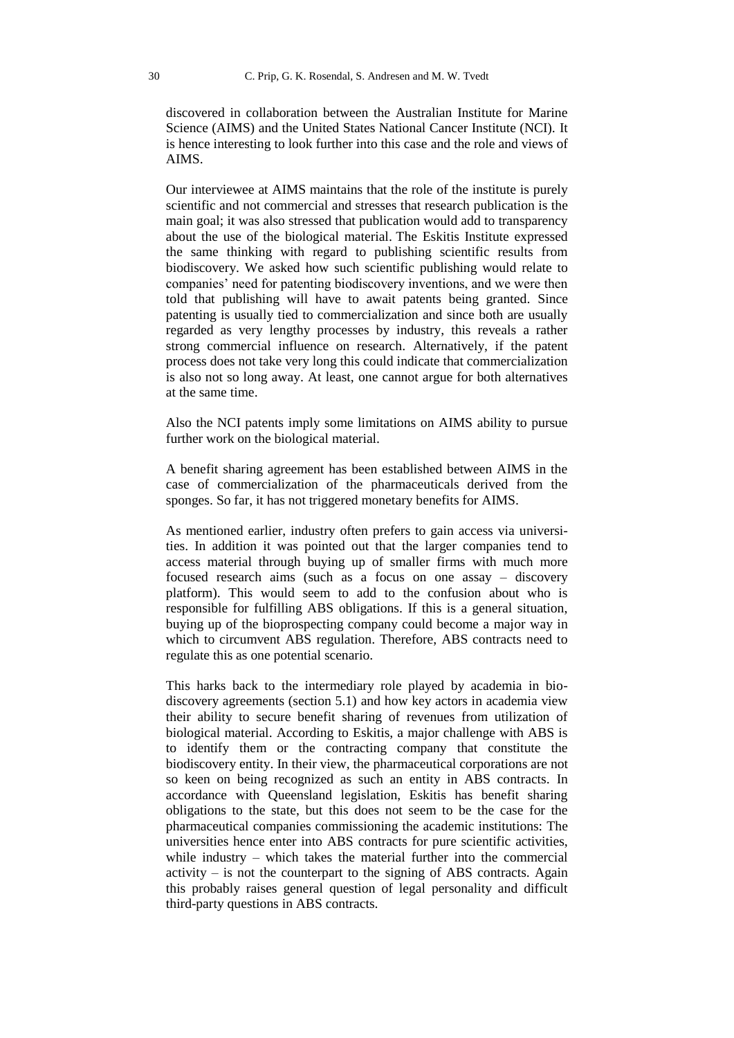discovered in collaboration between the Australian Institute for Marine Science (AIMS) and the United States National Cancer Institute (NCI). It is hence interesting to look further into this case and the role and views of AIMS.

Our interviewee at AIMS maintains that the role of the institute is purely scientific and not commercial and stresses that research publication is the main goal; it was also stressed that publication would add to transparency about the use of the biological material. The Eskitis Institute expressed the same thinking with regard to publishing scientific results from biodiscovery. We asked how such scientific publishing would relate to companies' need for patenting biodiscovery inventions, and we were then told that publishing will have to await patents being granted. Since patenting is usually tied to commercialization and since both are usually regarded as very lengthy processes by industry, this reveals a rather strong commercial influence on research. Alternatively, if the patent process does not take very long this could indicate that commercialization is also not so long away. At least, one cannot argue for both alternatives at the same time.

Also the NCI patents imply some limitations on AIMS ability to pursue further work on the biological material.

A benefit sharing agreement has been established between AIMS in the case of commercialization of the pharmaceuticals derived from the sponges. So far, it has not triggered monetary benefits for AIMS.

As mentioned earlier, industry often prefers to gain access via universities. In addition it was pointed out that the larger companies tend to access material through buying up of smaller firms with much more focused research aims (such as a focus on one assay – discovery platform). This would seem to add to the confusion about who is responsible for fulfilling ABS obligations. If this is a general situation, buying up of the bioprospecting company could become a major way in which to circumvent ABS regulation. Therefore, ABS contracts need to regulate this as one potential scenario.

This harks back to the intermediary role played by academia in biodiscovery agreements (section 5.1) and how key actors in academia view their ability to secure benefit sharing of revenues from utilization of biological material. According to Eskitis, a major challenge with ABS is to identify them or the contracting company that constitute the biodiscovery entity. In their view, the pharmaceutical corporations are not so keen on being recognized as such an entity in ABS contracts. In accordance with Queensland legislation, Eskitis has benefit sharing obligations to the state, but this does not seem to be the case for the pharmaceutical companies commissioning the academic institutions: The universities hence enter into ABS contracts for pure scientific activities, while industry – which takes the material further into the commercial  $\alpha$  activity – is not the counterpart to the signing of ABS contracts. Again this probably raises general question of legal personality and difficult third-party questions in ABS contracts.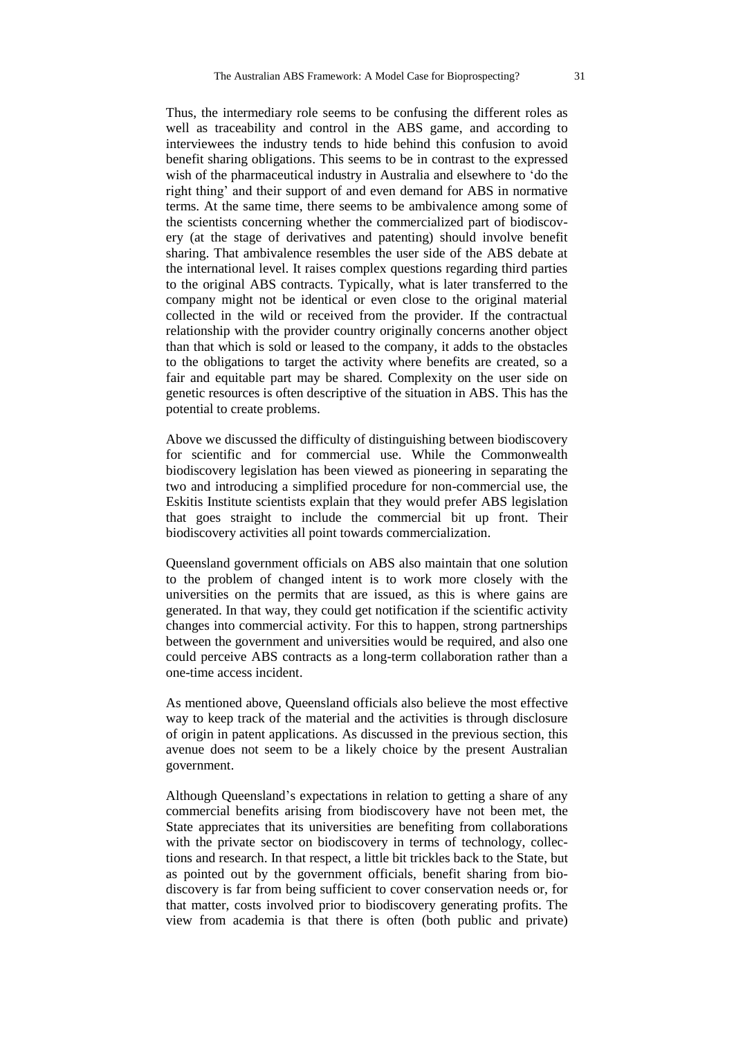Thus, the intermediary role seems to be confusing the different roles as well as traceability and control in the ABS game, and according to interviewees the industry tends to hide behind this confusion to avoid benefit sharing obligations. This seems to be in contrast to the expressed wish of the pharmaceutical industry in Australia and elsewhere to 'do the right thing' and their support of and even demand for ABS in normative terms. At the same time, there seems to be ambivalence among some of the scientists concerning whether the commercialized part of biodiscovery (at the stage of derivatives and patenting) should involve benefit sharing. That ambivalence resembles the user side of the ABS debate at the international level. It raises complex questions regarding third parties to the original ABS contracts. Typically, what is later transferred to the company might not be identical or even close to the original material collected in the wild or received from the provider. If the contractual relationship with the provider country originally concerns another object than that which is sold or leased to the company, it adds to the obstacles to the obligations to target the activity where benefits are created, so a fair and equitable part may be shared. Complexity on the user side on genetic resources is often descriptive of the situation in ABS. This has the potential to create problems.

Above we discussed the difficulty of distinguishing between biodiscovery for scientific and for commercial use. While the Commonwealth biodiscovery legislation has been viewed as pioneering in separating the two and introducing a simplified procedure for non-commercial use, the Eskitis Institute scientists explain that they would prefer ABS legislation that goes straight to include the commercial bit up front. Their biodiscovery activities all point towards commercialization.

Queensland government officials on ABS also maintain that one solution to the problem of changed intent is to work more closely with the universities on the permits that are issued, as this is where gains are generated. In that way, they could get notification if the scientific activity changes into commercial activity. For this to happen, strong partnerships between the government and universities would be required, and also one could perceive ABS contracts as a long-term collaboration rather than a one-time access incident.

As mentioned above, Queensland officials also believe the most effective way to keep track of the material and the activities is through disclosure of origin in patent applications. As discussed in the previous section, this avenue does not seem to be a likely choice by the present Australian government.

Although Queensland's expectations in relation to getting a share of any commercial benefits arising from biodiscovery have not been met, the State appreciates that its universities are benefiting from collaborations with the private sector on biodiscovery in terms of technology, collections and research. In that respect, a little bit trickles back to the State, but as pointed out by the government officials, benefit sharing from biodiscovery is far from being sufficient to cover conservation needs or, for that matter, costs involved prior to biodiscovery generating profits. The view from academia is that there is often (both public and private)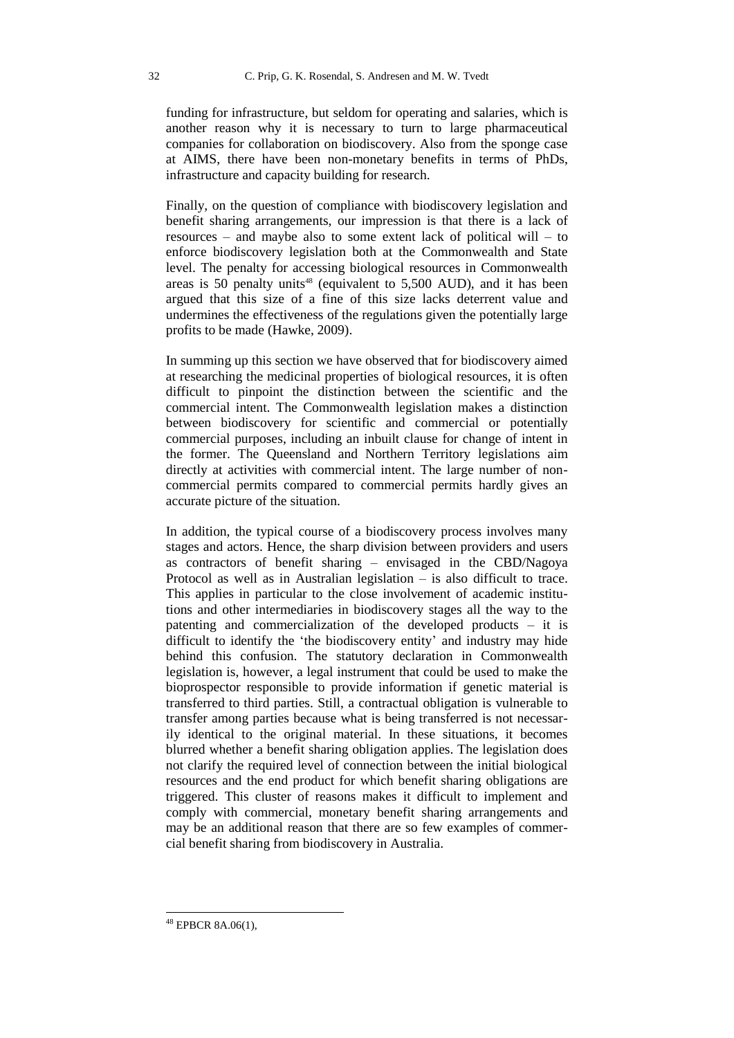funding for infrastructure, but seldom for operating and salaries, which is another reason why it is necessary to turn to large pharmaceutical companies for collaboration on biodiscovery. Also from the sponge case at AIMS, there have been non-monetary benefits in terms of PhDs, infrastructure and capacity building for research.

Finally, on the question of compliance with biodiscovery legislation and benefit sharing arrangements, our impression is that there is a lack of resources – and maybe also to some extent lack of political will – to enforce biodiscovery legislation both at the Commonwealth and State level. The penalty for accessing biological resources in Commonwealth areas is 50 penalty units<sup>48</sup> (equivalent to 5,500 AUD), and it has been argued that this size of a fine of this size lacks deterrent value and undermines the effectiveness of the regulations given the potentially large profits to be made (Hawke, 2009).

In summing up this section we have observed that for biodiscovery aimed at researching the medicinal properties of biological resources, it is often difficult to pinpoint the distinction between the scientific and the commercial intent. The Commonwealth legislation makes a distinction between biodiscovery for scientific and commercial or potentially commercial purposes, including an inbuilt clause for change of intent in the former. The Queensland and Northern Territory legislations aim directly at activities with commercial intent. The large number of noncommercial permits compared to commercial permits hardly gives an accurate picture of the situation.

In addition, the typical course of a biodiscovery process involves many stages and actors. Hence, the sharp division between providers and users as contractors of benefit sharing – envisaged in the CBD/Nagoya Protocol as well as in Australian legislation – is also difficult to trace. This applies in particular to the close involvement of academic institutions and other intermediaries in biodiscovery stages all the way to the patenting and commercialization of the developed products – it is difficult to identify the 'the biodiscovery entity' and industry may hide behind this confusion. The statutory declaration in Commonwealth legislation is, however, a legal instrument that could be used to make the bioprospector responsible to provide information if genetic material is transferred to third parties. Still, a contractual obligation is vulnerable to transfer among parties because what is being transferred is not necessarily identical to the original material. In these situations, it becomes blurred whether a benefit sharing obligation applies. The legislation does not clarify the required level of connection between the initial biological resources and the end product for which benefit sharing obligations are triggered. This cluster of reasons makes it difficult to implement and comply with commercial, monetary benefit sharing arrangements and may be an additional reason that there are so few examples of commercial benefit sharing from biodiscovery in Australia.

-

<sup>48</sup> EPBCR 8A.06(1),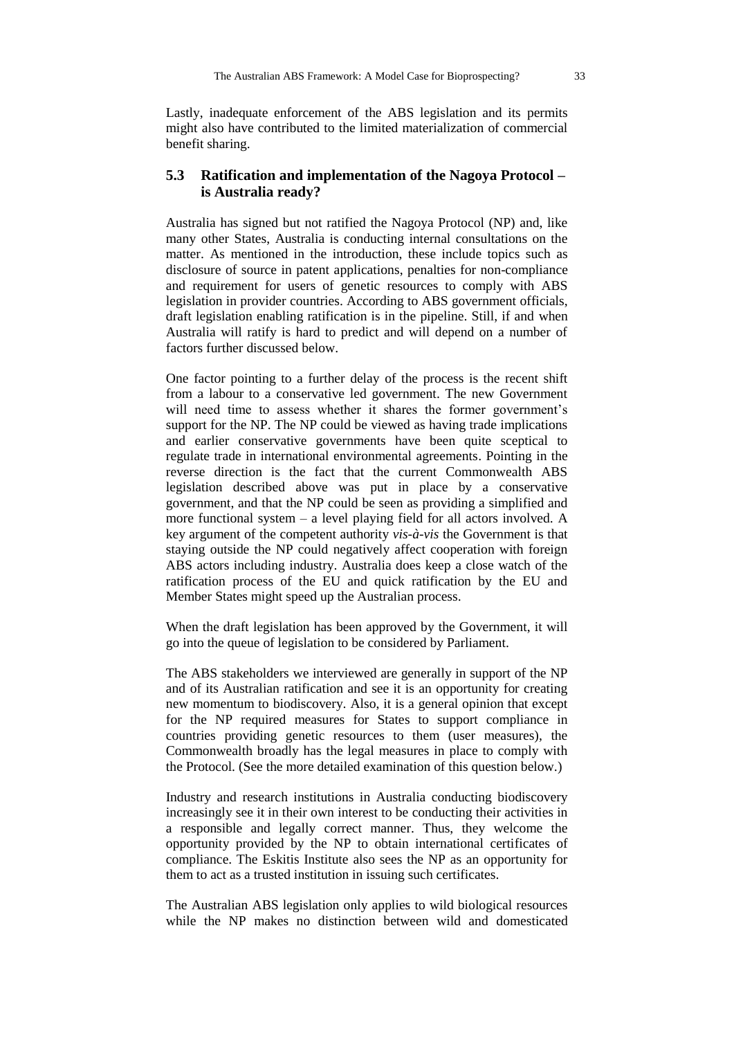Lastly, inadequate enforcement of the ABS legislation and its permits might also have contributed to the limited materialization of commercial benefit sharing.

## **5.3 Ratification and implementation of the Nagoya Protocol – is Australia ready?**

Australia has signed but not ratified the Nagoya Protocol (NP) and, like many other States, Australia is conducting internal consultations on the matter. As mentioned in the introduction, these include topics such as disclosure of source in patent applications, penalties for non-compliance and requirement for users of genetic resources to comply with ABS legislation in provider countries. According to ABS government officials, draft legislation enabling ratification is in the pipeline. Still, if and when Australia will ratify is hard to predict and will depend on a number of factors further discussed below.

One factor pointing to a further delay of the process is the recent shift from a labour to a conservative led government. The new Government will need time to assess whether it shares the former government's support for the NP. The NP could be viewed as having trade implications and earlier conservative governments have been quite sceptical to regulate trade in international environmental agreements. Pointing in the reverse direction is the fact that the current Commonwealth ABS legislation described above was put in place by a conservative government, and that the NP could be seen as providing a simplified and more functional system – a level playing field for all actors involved. A key argument of the competent authority *vis-à-vis* the Government is that staying outside the NP could negatively affect cooperation with foreign ABS actors including industry. Australia does keep a close watch of the ratification process of the EU and quick ratification by the EU and Member States might speed up the Australian process.

When the draft legislation has been approved by the Government, it will go into the queue of legislation to be considered by Parliament.

The ABS stakeholders we interviewed are generally in support of the NP and of its Australian ratification and see it is an opportunity for creating new momentum to biodiscovery. Also, it is a general opinion that except for the NP required measures for States to support compliance in countries providing genetic resources to them (user measures), the Commonwealth broadly has the legal measures in place to comply with the Protocol. (See the more detailed examination of this question below.)

Industry and research institutions in Australia conducting biodiscovery increasingly see it in their own interest to be conducting their activities in a responsible and legally correct manner. Thus, they welcome the opportunity provided by the NP to obtain international certificates of compliance. The Eskitis Institute also sees the NP as an opportunity for them to act as a trusted institution in issuing such certificates.

The Australian ABS legislation only applies to wild biological resources while the NP makes no distinction between wild and domesticated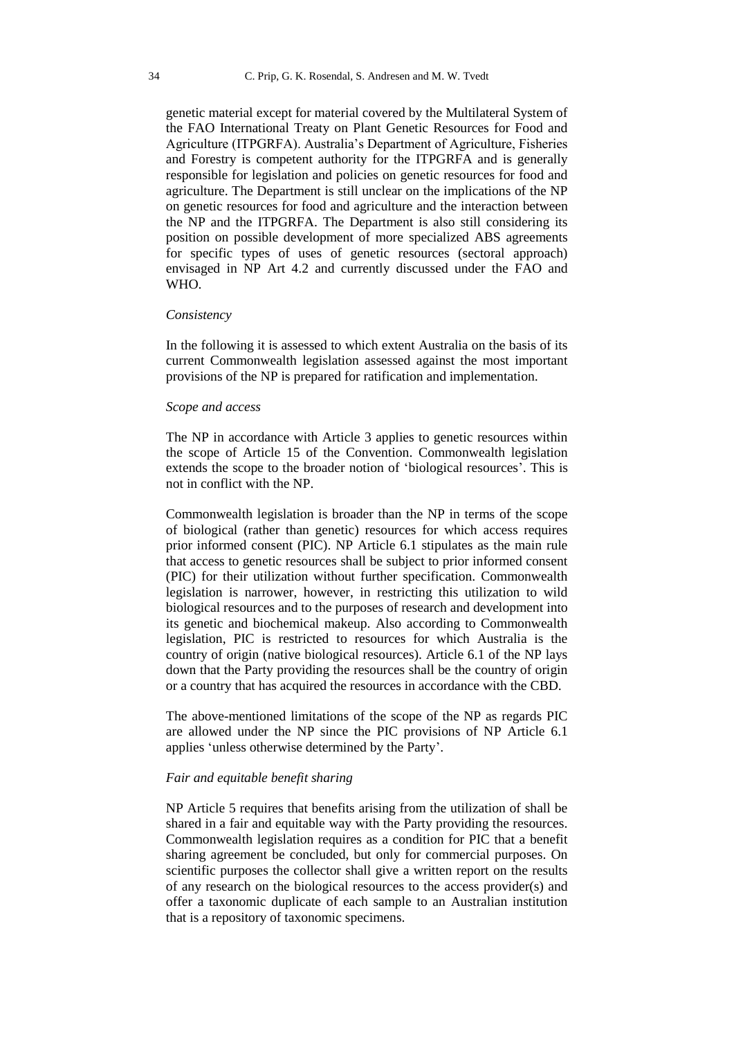genetic material except for material covered by the Multilateral System of the FAO International Treaty on Plant Genetic Resources for Food and Agriculture (ITPGRFA). Australia's Department of Agriculture, Fisheries and Forestry is competent authority for the ITPGRFA and is generally responsible for legislation and policies on genetic resources for food and agriculture. The Department is still unclear on the implications of the NP on genetic resources for food and agriculture and the interaction between the NP and the ITPGRFA. The Department is also still considering its position on possible development of more specialized ABS agreements for specific types of uses of genetic resources (sectoral approach) envisaged in NP Art 4.2 and currently discussed under the FAO and WHO.

#### *Consistency*

In the following it is assessed to which extent Australia on the basis of its current Commonwealth legislation assessed against the most important provisions of the NP is prepared for ratification and implementation.

#### *Scope and access*

The NP in accordance with Article 3 applies to genetic resources within the scope of Article 15 of the Convention. Commonwealth legislation extends the scope to the broader notion of 'biological resources'. This is not in conflict with the NP.

Commonwealth legislation is broader than the NP in terms of the scope of biological (rather than genetic) resources for which access requires prior informed consent (PIC). NP Article 6.1 stipulates as the main rule that access to genetic resources shall be subject to prior informed consent (PIC) for their utilization without further specification. Commonwealth legislation is narrower, however, in restricting this utilization to wild biological resources and to the purposes of research and development into its genetic and biochemical makeup. Also according to Commonwealth legislation, PIC is restricted to resources for which Australia is the country of origin (native biological resources). Article 6.1 of the NP lays down that the Party providing the resources shall be the country of origin or a country that has acquired the resources in accordance with the CBD.

The above-mentioned limitations of the scope of the NP as regards PIC are allowed under the NP since the PIC provisions of NP Article 6.1 applies 'unless otherwise determined by the Party'.

#### *Fair and equitable benefit sharing*

NP Article 5 requires that benefits arising from the utilization of shall be shared in a fair and equitable way with the Party providing the resources. Commonwealth legislation requires as a condition for PIC that a benefit sharing agreement be concluded, but only for commercial purposes. On scientific purposes the collector shall give a written report on the results of any research on the biological resources to the access provider(s) and offer a taxonomic duplicate of each sample to an Australian institution that is a repository of taxonomic specimens.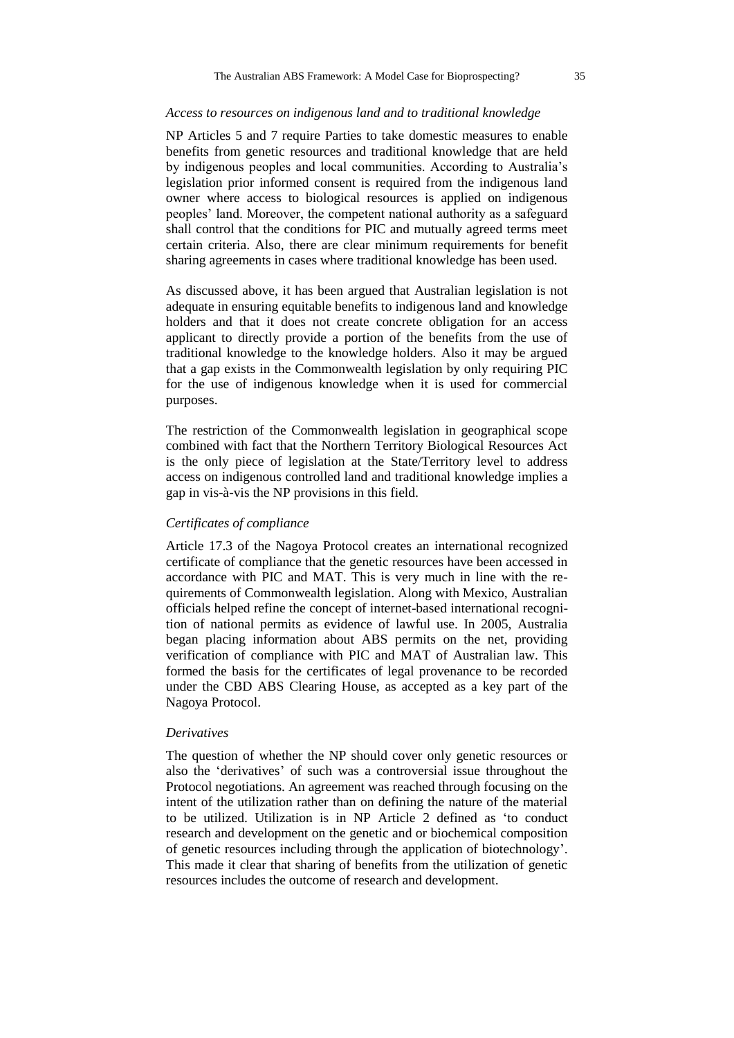#### *Access to resources on indigenous land and to traditional knowledge*

NP Articles 5 and 7 require Parties to take domestic measures to enable benefits from genetic resources and traditional knowledge that are held by indigenous peoples and local communities. According to Australia's legislation prior informed consent is required from the indigenous land owner where access to biological resources is applied on indigenous peoples' land. Moreover, the competent national authority as a safeguard shall control that the conditions for PIC and mutually agreed terms meet certain criteria. Also, there are clear minimum requirements for benefit sharing agreements in cases where traditional knowledge has been used.

As discussed above, it has been argued that Australian legislation is not adequate in ensuring equitable benefits to indigenous land and knowledge holders and that it does not create concrete obligation for an access applicant to directly provide a portion of the benefits from the use of traditional knowledge to the knowledge holders. Also it may be argued that a gap exists in the Commonwealth legislation by only requiring PIC for the use of indigenous knowledge when it is used for commercial purposes.

The restriction of the Commonwealth legislation in geographical scope combined with fact that the Northern Territory Biological Resources Act is the only piece of legislation at the State/Territory level to address access on indigenous controlled land and traditional knowledge implies a gap in vis-à-vis the NP provisions in this field.

## *Certificates of compliance*

Article 17.3 of the Nagoya Protocol creates an international recognized certificate of compliance that the genetic resources have been accessed in accordance with PIC and MAT. This is very much in line with the requirements of Commonwealth legislation. Along with Mexico, Australian officials helped refine the concept of internet-based international recognition of national permits as evidence of lawful use. In 2005, Australia began placing information about ABS permits on the net, providing verification of compliance with PIC and MAT of Australian law. This formed the basis for the certificates of legal provenance to be recorded under the CBD ABS Clearing House, as accepted as a key part of the Nagoya Protocol.

#### *Derivatives*

The question of whether the NP should cover only genetic resources or also the 'derivatives' of such was a controversial issue throughout the Protocol negotiations. An agreement was reached through focusing on the intent of the utilization rather than on defining the nature of the material to be utilized. Utilization is in NP Article 2 defined as 'to conduct research and development on the genetic and or biochemical composition of genetic resources including through the application of biotechnology'. This made it clear that sharing of benefits from the utilization of genetic resources includes the outcome of research and development.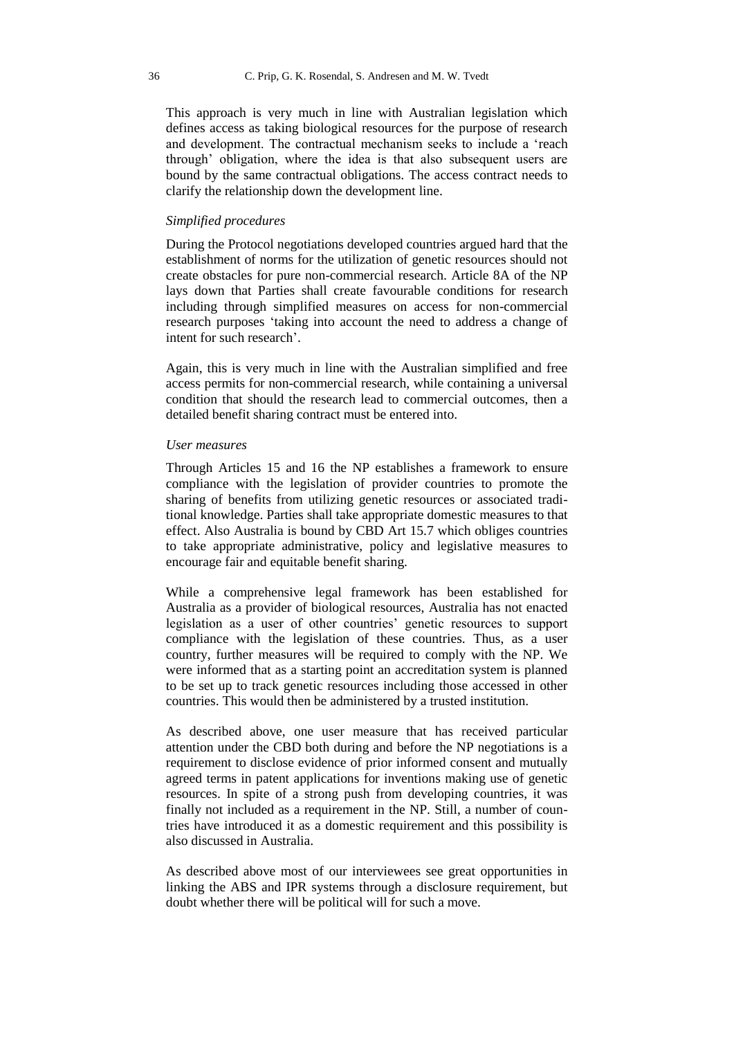This approach is very much in line with Australian legislation which defines access as taking biological resources for the purpose of research and development. The contractual mechanism seeks to include a 'reach through' obligation, where the idea is that also subsequent users are bound by the same contractual obligations. The access contract needs to clarify the relationship down the development line.

#### *Simplified procedures*

During the Protocol negotiations developed countries argued hard that the establishment of norms for the utilization of genetic resources should not create obstacles for pure non-commercial research. Article 8A of the NP lays down that Parties shall create favourable conditions for research including through simplified measures on access for non-commercial research purposes 'taking into account the need to address a change of intent for such research'.

Again, this is very much in line with the Australian simplified and free access permits for non-commercial research, while containing a universal condition that should the research lead to commercial outcomes, then a detailed benefit sharing contract must be entered into.

#### *User measures*

Through Articles 15 and 16 the NP establishes a framework to ensure compliance with the legislation of provider countries to promote the sharing of benefits from utilizing genetic resources or associated traditional knowledge. Parties shall take appropriate domestic measures to that effect. Also Australia is bound by CBD Art 15.7 which obliges countries to take appropriate administrative, policy and legislative measures to encourage fair and equitable benefit sharing.

While a comprehensive legal framework has been established for Australia as a provider of biological resources, Australia has not enacted legislation as a user of other countries' genetic resources to support compliance with the legislation of these countries. Thus, as a user country, further measures will be required to comply with the NP. We were informed that as a starting point an accreditation system is planned to be set up to track genetic resources including those accessed in other countries. This would then be administered by a trusted institution.

As described above, one user measure that has received particular attention under the CBD both during and before the NP negotiations is a requirement to disclose evidence of prior informed consent and mutually agreed terms in patent applications for inventions making use of genetic resources. In spite of a strong push from developing countries, it was finally not included as a requirement in the NP. Still, a number of countries have introduced it as a domestic requirement and this possibility is also discussed in Australia.

As described above most of our interviewees see great opportunities in linking the ABS and IPR systems through a disclosure requirement, but doubt whether there will be political will for such a move.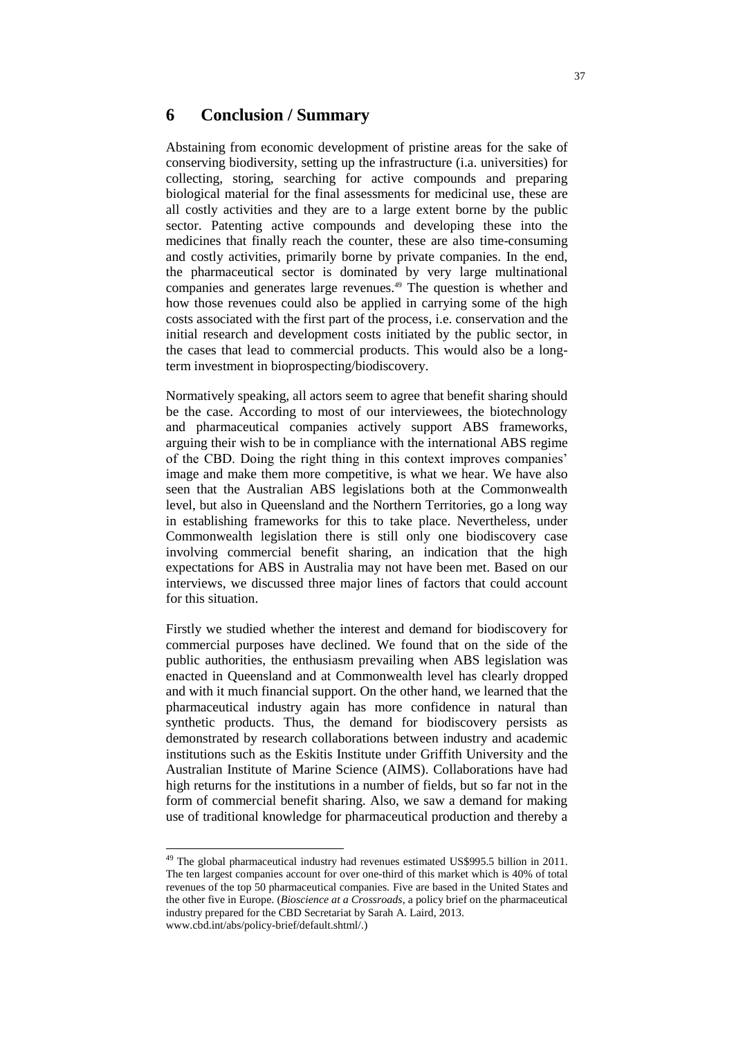# **6 Conclusion / Summary**

Abstaining from economic development of pristine areas for the sake of conserving biodiversity, setting up the infrastructure (i.a. universities) for collecting, storing, searching for active compounds and preparing biological material for the final assessments for medicinal use, these are all costly activities and they are to a large extent borne by the public sector. Patenting active compounds and developing these into the medicines that finally reach the counter, these are also time-consuming and costly activities, primarily borne by private companies. In the end, the pharmaceutical sector is dominated by very large multinational companies and generates large revenues.<sup>49</sup> The question is whether and how those revenues could also be applied in carrying some of the high costs associated with the first part of the process, i.e. conservation and the initial research and development costs initiated by the public sector, in the cases that lead to commercial products. This would also be a longterm investment in bioprospecting/biodiscovery.

Normatively speaking, all actors seem to agree that benefit sharing should be the case. According to most of our interviewees, the biotechnology and pharmaceutical companies actively support ABS frameworks, arguing their wish to be in compliance with the international ABS regime of the CBD. Doing the right thing in this context improves companies' image and make them more competitive, is what we hear. We have also seen that the Australian ABS legislations both at the Commonwealth level, but also in Queensland and the Northern Territories, go a long way in establishing frameworks for this to take place. Nevertheless, under Commonwealth legislation there is still only one biodiscovery case involving commercial benefit sharing, an indication that the high expectations for ABS in Australia may not have been met. Based on our interviews, we discussed three major lines of factors that could account for this situation.

Firstly we studied whether the interest and demand for biodiscovery for commercial purposes have declined. We found that on the side of the public authorities, the enthusiasm prevailing when ABS legislation was enacted in Queensland and at Commonwealth level has clearly dropped and with it much financial support. On the other hand, we learned that the pharmaceutical industry again has more confidence in natural than synthetic products. Thus, the demand for biodiscovery persists as demonstrated by research collaborations between industry and academic institutions such as the Eskitis Institute under Griffith University and the Australian Institute of Marine Science (AIMS). Collaborations have had high returns for the institutions in a number of fields, but so far not in the form of commercial benefit sharing. Also, we saw a demand for making use of traditional knowledge for pharmaceutical production and thereby a

-

<sup>&</sup>lt;sup>49</sup> The global pharmaceutical industry had revenues estimated US\$995.5 billion in 2011. The ten largest companies account for over one-third of this market which is 40% of total revenues of the top 50 pharmaceutical companies. Five are based in the United States and the other five in Europe. (*Bioscience at a Crossroads*, a policy brief on the pharmaceutical industry prepared for the CBD Secretariat by Sarah A. Laird, 2013. www.cbd.int/abs/policy-brief/default.shtml/.)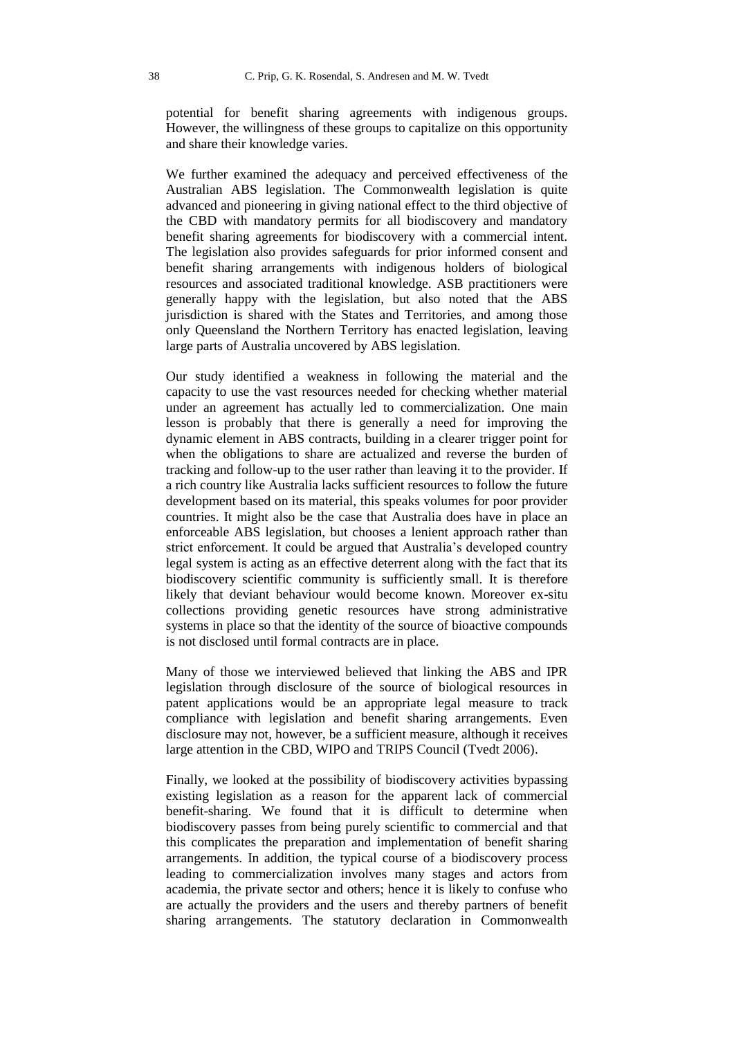potential for benefit sharing agreements with indigenous groups. However, the willingness of these groups to capitalize on this opportunity and share their knowledge varies.

We further examined the adequacy and perceived effectiveness of the Australian ABS legislation. The Commonwealth legislation is quite advanced and pioneering in giving national effect to the third objective of the CBD with mandatory permits for all biodiscovery and mandatory benefit sharing agreements for biodiscovery with a commercial intent. The legislation also provides safeguards for prior informed consent and benefit sharing arrangements with indigenous holders of biological resources and associated traditional knowledge. ASB practitioners were generally happy with the legislation, but also noted that the ABS jurisdiction is shared with the States and Territories, and among those only Queensland the Northern Territory has enacted legislation, leaving large parts of Australia uncovered by ABS legislation.

Our study identified a weakness in following the material and the capacity to use the vast resources needed for checking whether material under an agreement has actually led to commercialization. One main lesson is probably that there is generally a need for improving the dynamic element in ABS contracts, building in a clearer trigger point for when the obligations to share are actualized and reverse the burden of tracking and follow-up to the user rather than leaving it to the provider. If a rich country like Australia lacks sufficient resources to follow the future development based on its material, this speaks volumes for poor provider countries. It might also be the case that Australia does have in place an enforceable ABS legislation, but chooses a lenient approach rather than strict enforcement. It could be argued that Australia's developed country legal system is acting as an effective deterrent along with the fact that its biodiscovery scientific community is sufficiently small. It is therefore likely that deviant behaviour would become known. Moreover ex-situ collections providing genetic resources have strong administrative systems in place so that the identity of the source of bioactive compounds is not disclosed until formal contracts are in place.

Many of those we interviewed believed that linking the ABS and IPR legislation through disclosure of the source of biological resources in patent applications would be an appropriate legal measure to track compliance with legislation and benefit sharing arrangements. Even disclosure may not, however, be a sufficient measure, although it receives large attention in the CBD, WIPO and TRIPS Council (Tvedt 2006).

Finally, we looked at the possibility of biodiscovery activities bypassing existing legislation as a reason for the apparent lack of commercial benefit-sharing. We found that it is difficult to determine when biodiscovery passes from being purely scientific to commercial and that this complicates the preparation and implementation of benefit sharing arrangements. In addition, the typical course of a biodiscovery process leading to commercialization involves many stages and actors from academia, the private sector and others; hence it is likely to confuse who are actually the providers and the users and thereby partners of benefit sharing arrangements. The statutory declaration in Commonwealth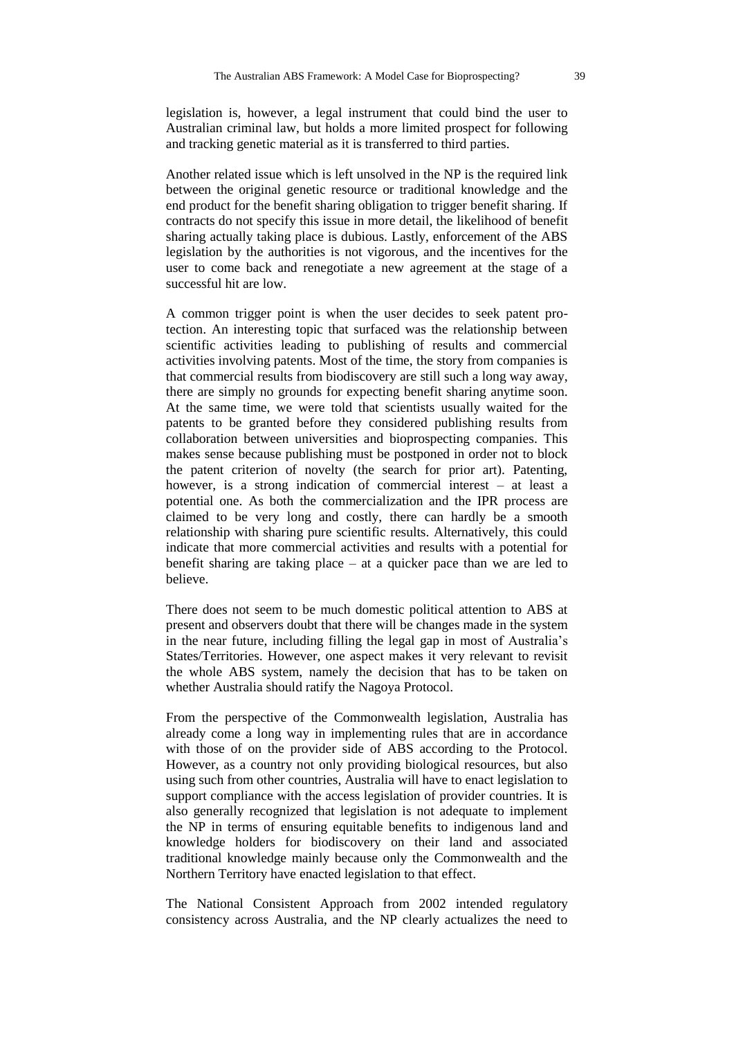legislation is, however, a legal instrument that could bind the user to Australian criminal law, but holds a more limited prospect for following and tracking genetic material as it is transferred to third parties.

Another related issue which is left unsolved in the NP is the required link between the original genetic resource or traditional knowledge and the end product for the benefit sharing obligation to trigger benefit sharing. If contracts do not specify this issue in more detail, the likelihood of benefit sharing actually taking place is dubious. Lastly, enforcement of the ABS legislation by the authorities is not vigorous, and the incentives for the user to come back and renegotiate a new agreement at the stage of a successful hit are low.

A common trigger point is when the user decides to seek patent protection. An interesting topic that surfaced was the relationship between scientific activities leading to publishing of results and commercial activities involving patents. Most of the time, the story from companies is that commercial results from biodiscovery are still such a long way away, there are simply no grounds for expecting benefit sharing anytime soon. At the same time, we were told that scientists usually waited for the patents to be granted before they considered publishing results from collaboration between universities and bioprospecting companies. This makes sense because publishing must be postponed in order not to block the patent criterion of novelty (the search for prior art). Patenting, however, is a strong indication of commercial interest – at least a potential one. As both the commercialization and the IPR process are claimed to be very long and costly, there can hardly be a smooth relationship with sharing pure scientific results. Alternatively, this could indicate that more commercial activities and results with a potential for benefit sharing are taking place – at a quicker pace than we are led to believe.

There does not seem to be much domestic political attention to ABS at present and observers doubt that there will be changes made in the system in the near future, including filling the legal gap in most of Australia's States/Territories. However, one aspect makes it very relevant to revisit the whole ABS system, namely the decision that has to be taken on whether Australia should ratify the Nagoya Protocol.

From the perspective of the Commonwealth legislation, Australia has already come a long way in implementing rules that are in accordance with those of on the provider side of ABS according to the Protocol. However, as a country not only providing biological resources, but also using such from other countries, Australia will have to enact legislation to support compliance with the access legislation of provider countries. It is also generally recognized that legislation is not adequate to implement the NP in terms of ensuring equitable benefits to indigenous land and knowledge holders for biodiscovery on their land and associated traditional knowledge mainly because only the Commonwealth and the Northern Territory have enacted legislation to that effect.

The National Consistent Approach from 2002 intended regulatory consistency across Australia, and the NP clearly actualizes the need to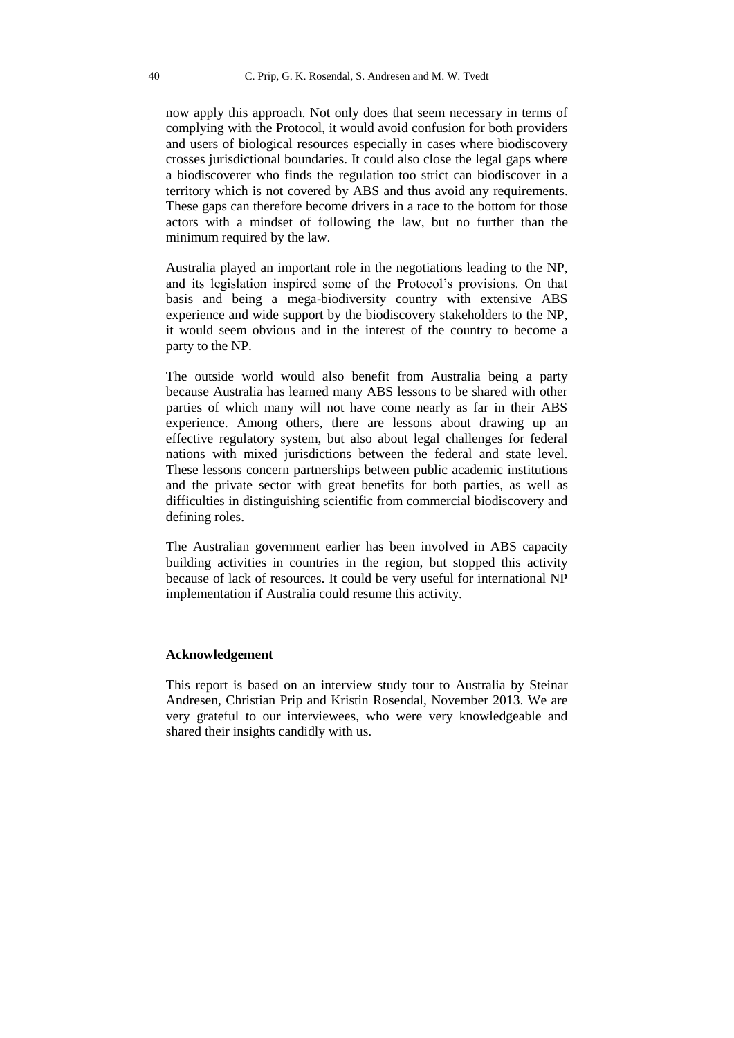now apply this approach. Not only does that seem necessary in terms of complying with the Protocol, it would avoid confusion for both providers and users of biological resources especially in cases where biodiscovery crosses jurisdictional boundaries. It could also close the legal gaps where a biodiscoverer who finds the regulation too strict can biodiscover in a territory which is not covered by ABS and thus avoid any requirements. These gaps can therefore become drivers in a race to the bottom for those actors with a mindset of following the law, but no further than the minimum required by the law.

Australia played an important role in the negotiations leading to the NP, and its legislation inspired some of the Protocol's provisions. On that basis and being a mega-biodiversity country with extensive ABS experience and wide support by the biodiscovery stakeholders to the NP, it would seem obvious and in the interest of the country to become a party to the NP.

The outside world would also benefit from Australia being a party because Australia has learned many ABS lessons to be shared with other parties of which many will not have come nearly as far in their ABS experience. Among others, there are lessons about drawing up an effective regulatory system, but also about legal challenges for federal nations with mixed jurisdictions between the federal and state level. These lessons concern partnerships between public academic institutions and the private sector with great benefits for both parties, as well as difficulties in distinguishing scientific from commercial biodiscovery and defining roles.

The Australian government earlier has been involved in ABS capacity building activities in countries in the region, but stopped this activity because of lack of resources. It could be very useful for international NP implementation if Australia could resume this activity.

#### **Acknowledgement**

This report is based on an interview study tour to Australia by Steinar Andresen, Christian Prip and Kristin Rosendal, November 2013. We are very grateful to our interviewees, who were very knowledgeable and shared their insights candidly with us.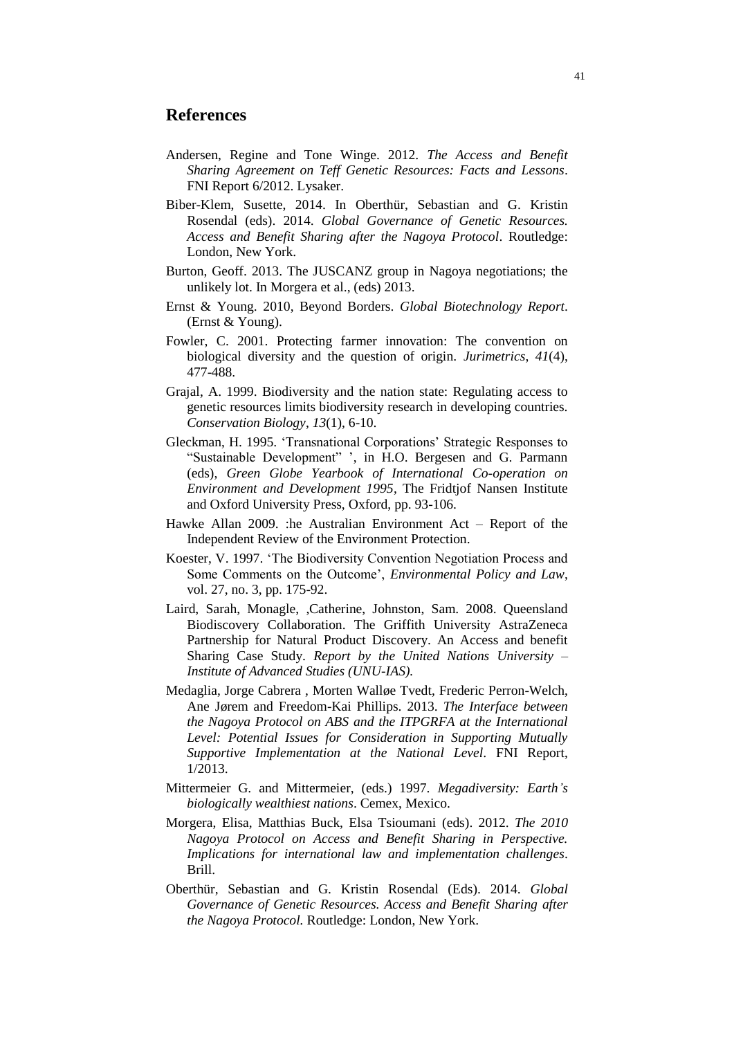# **References**

- Andersen, Regine and Tone Winge. 2012. *The Access and Benefit Sharing Agreement on Teff Genetic Resources: Facts and Lessons*. FNI Report 6/2012. Lysaker.
- Biber-Klem, Susette, 2014. In Oberthür, Sebastian and G. Kristin Rosendal (eds). 2014. *Global Governance of Genetic Resources. Access and Benefit Sharing after the Nagoya Protocol*. Routledge: London, New York.
- Burton, Geoff. 2013. The JUSCANZ group in Nagoya negotiations; the unlikely lot. In Morgera et al., (eds) 2013.
- Ernst & Young. 2010, Beyond Borders. *Global Biotechnology Report*. (Ernst & Young).
- Fowler, C. 2001. Protecting farmer innovation: The convention on biological diversity and the question of origin. *Jurimetrics*, *41*(4), 477-488.
- Grajal, A. 1999. Biodiversity and the nation state: Regulating access to genetic resources limits biodiversity research in developing countries. *Conservation Biology*, *13*(1), 6-10.
- Gleckman, H. 1995. 'Transnational Corporations' Strategic Responses to "Sustainable Development" ', in H.O. Bergesen and G. Parmann (eds), *Green Globe Yearbook of International Co-operation on Environment and Development 1995*, The Fridtjof Nansen Institute and Oxford University Press, Oxford, pp. 93-106.
- Hawke Allan 2009. :he Australian Environment Act Report of the Independent Review of the Environment Protection.
- Koester, V. 1997. 'The Biodiversity Convention Negotiation Process and Some Comments on the Outcome', *Environmental Policy and Law*, vol. 27, no. 3, pp. 175-92.
- Laird, Sarah, Monagle, ,Catherine, Johnston, Sam. 2008. Queensland Biodiscovery Collaboration. The Griffith University AstraZeneca Partnership for Natural Product Discovery. An Access and benefit Sharing Case Study. *Report by the United Nations University – Institute of Advanced Studies (UNU-IAS).*
- Medaglia, Jorge Cabrera , Morten Walløe Tvedt, Frederic Perron-Welch, Ane Jørem and Freedom-Kai Phillips. 2013. *The Interface between the Nagoya Protocol on ABS and the ITPGRFA at the International Level: Potential Issues for Consideration in Supporting Mutually Supportive Implementation at the National Level*. FNI Report, 1/2013.
- Mittermeier G. and Mittermeier, (eds.) 1997. *Megadiversity: Earth's biologically wealthiest nations*. Cemex, Mexico.
- Morgera, Elisa, Matthias Buck, Elsa Tsioumani (eds). 2012. *The 2010 Nagoya Protocol on Access and Benefit Sharing in Perspective. Implications for international law and implementation challenges*. Brill.
- Oberthür, Sebastian and G. Kristin Rosendal (Eds). 2014. *Global Governance of Genetic Resources. Access and Benefit Sharing after the Nagoya Protocol.* Routledge: London, New York.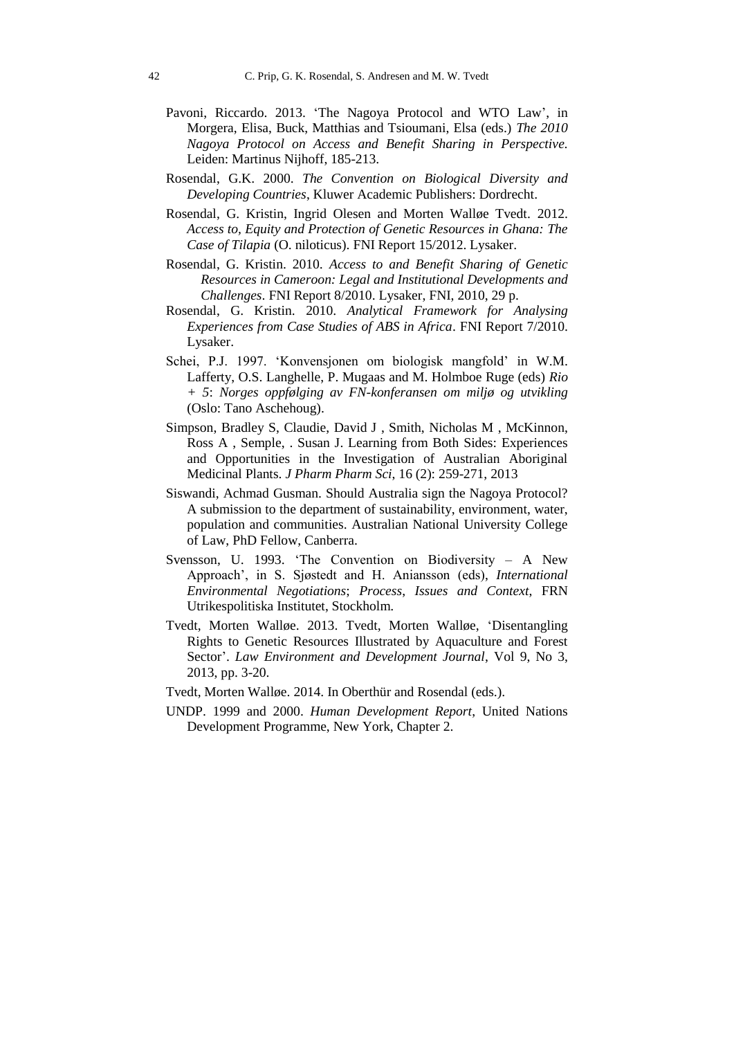- Pavoni, Riccardo. 2013. 'The Nagoya Protocol and WTO Law', in Morgera, Elisa, Buck, Matthias and Tsioumani, Elsa (eds.) *The 2010 Nagoya Protocol on Access and Benefit Sharing in Perspective.* Leiden: Martinus Nijhoff, 185-213.
- Rosendal, G.K. 2000. *The Convention on Biological Diversity and Developing Countries*, Kluwer Academic Publishers: Dordrecht.
- Rosendal, G. Kristin, Ingrid Olesen and Morten Walløe Tvedt. 2012. *Access to, Equity and Protection of Genetic Resources in Ghana: The Case of Tilapia* (O. niloticus). FNI Report 15/2012. Lysaker.
- Rosendal, G. Kristin. 2010. *Access to and Benefit Sharing of Genetic Resources in Cameroon: Legal and Institutional Developments and Challenges*. FNI Report 8/2010. Lysaker, FNI, 2010, 29 p.
- Rosendal, G. Kristin. 2010. *Analytical Framework for Analysing Experiences from Case Studies of ABS in Africa*. FNI Report 7/2010. Lysaker.
- Schei, P.J. 1997. 'Konvensjonen om biologisk mangfold' in W.M. Lafferty, O.S. Langhelle, P. Mugaas and M. Holmboe Ruge (eds) *Rio + 5*: *Norges oppfølging av FN-konferansen om miljø og utvikling*  (Oslo: Tano Aschehoug).
- Simpson, Bradley S, Claudie, David J , Smith, Nicholas M , McKinnon, Ross A , Semple, . Susan J. Learning from Both Sides: Experiences and Opportunities in the Investigation of Australian Aboriginal Medicinal Plants. *J Pharm Pharm Sci*, 16 (2): 259-271, 2013
- Siswandi, Achmad Gusman. Should Australia sign the Nagoya Protocol? A submission to the department of sustainability, environment, water, population and communities. Australian National University College of Law, PhD Fellow, Canberra.
- Svensson, U. 1993. 'The Convention on Biodiversity A New Approach', in S. Sjøstedt and H. Aniansson (eds), *International Environmental Negotiations*; *Process*, *Issues and Context*, FRN Utrikespolitiska Institutet, Stockholm.
- Tvedt, Morten Walløe. 2013. Tvedt, Morten Walløe, 'Disentangling Rights to Genetic Resources Illustrated by Aquaculture and Forest Sector'. *Law Environment and Development Journal*, Vol 9, No 3, 2013, pp. 3-20.
- Tvedt, Morten Walløe. 2014. In Oberthür and Rosendal (eds.).
- UNDP. 1999 and 2000. *Human Development Report*, United Nations Development Programme, New York, Chapter 2.